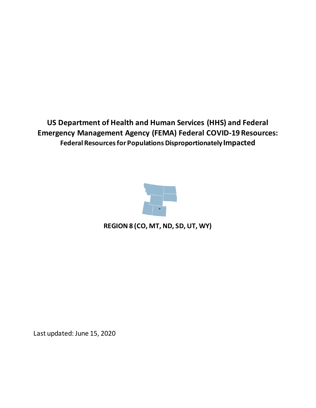**US Department of Health and Human Services (HHS) and Federal Emergency Management Agency (FEMA) Federal COVID-19 Resources: Federal Resources for Populations Disproportionately Impacted** 



**REGION 8 (CO, MT, ND, SD, UT, WY)**

Last updated: June 15, 2020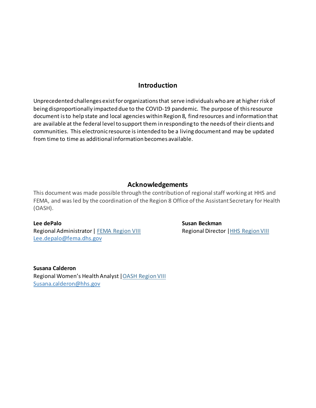## **Introduction**

Unprecedented challenges exist for organizations that serve individuals who are at higher risk of being disproportionally impacted due to the COVID-19 pandemic. The purpose of this resource document is to help state and local agencies within Region 8, find resources and information that are available at the federal level to support them in responding to the needs of their clients and communities. This electronic resource is intended to be a living document and may be updated from time to time as additional information becomes available.

# **Acknowledgements**

This document was made possible through the contribution of regional staff working at HHS and FEMA, and was led by the coordination of the Region 8 Office of the Assistant Secretary for Health (OASH).

Regional Administrator | [FEMA Region VIII](https://www.fema.gov/region-viii-co-mt-nd-sd-ut-wy) Regional Director | HHS [Region VIII](https://www.hhs.gov/about/agencies/iea/regional-offices/region-8/index.html) [Lee.depalo@fema.dhs.gov](mailto:Lee.depalo@fema.dhs.gov) 

**Lee dePalo Susan Beckman**

**Susana Calderon** Regional Women's Health Analyst [|OASH Region VIII](https://www.hhs.gov/ash/about-ash/regional-offices/region-8/index.html) [Susana.calderon@hhs.gov](mailto:Susana.calderon@hhs.gov)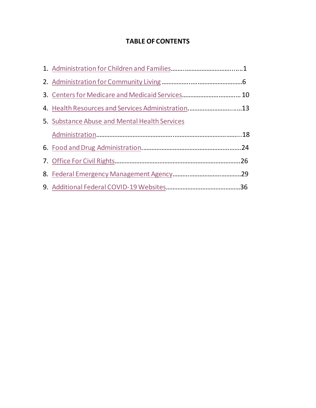# **TABLE OF CONTENTS**

| 3. Centers for Medicare and Medicaid Services 10  |  |
|---------------------------------------------------|--|
| 4. Health Resources and Services Administration13 |  |
| 5. Substance Abuse and Mental Health Services     |  |
|                                                   |  |
|                                                   |  |
|                                                   |  |
|                                                   |  |
|                                                   |  |
|                                                   |  |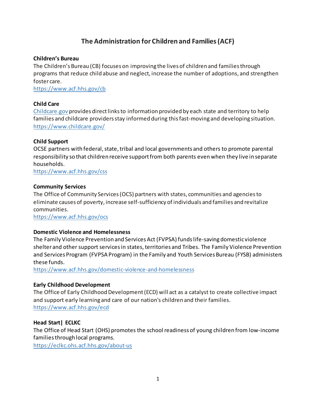# **The Administration for Children and Families (ACF)**

#### <span id="page-3-0"></span>**Children's Bureau**

The Children's Bureau (CB) focuses on improving the lives of children and families through programs that reduce child abuse and neglect, increase the number of adoptions, and strengthen foster care.

<https://www.acf.hhs.gov/cb>

#### **Child Care**

[Childcare.gov](https://www.childcare.gov/) provides direct links to information provided by each state and territory to help families and childcare providers stay informed during this fast-moving and developing situation. <https://www.childcare.gov/>

#### **Child Support**

OCSE partners with federal, state, tribal and local governments and others to promote parental responsibility so that children receive support from both parents even when they live in separate households.

<https://www.acf.hhs.gov/css>

#### **Community Services**

The Office of Community Services (OCS) partners with states, communities and agencies to eliminate causes of poverty, increase self-sufficiency of individuals and families and revitalize communities.

<https://www.acf.hhs.gov/ocs>

#### **Domestic Violence and Homelessness**

The Family Violence Prevention and Services Act (FVPSA) funds life-saving domestic violence shelter and other support services in states, territories and Tribes. The Family Violence Prevention and Services Program (FVPSA Program) in the Family and Youth Services Bureau (FYSB) administers these funds.

<https://www.acf.hhs.gov/domestic-violence-and-homelessness>

#### **Early Childhood Development**

The Office of Early Childhood Development (ECD) will act as a catalyst to create collective impact and support early learning and care of our nation's children and their families. <https://www.acf.hhs.gov/ecd>

#### **Head Start| ECLKC**

The Office of Head Start (OHS) promotes the school readiness of young children from low-income families through local programs. <https://eclkc.ohs.acf.hhs.gov/about-us>

1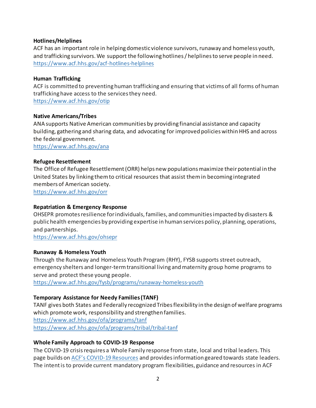#### **Hotlines/Helplines**

ACF has an important role in helping domestic violence survivors, runaway and homeless youth, and trafficking survivors. We support the followinghotlines / helplinesto serve people in need. <https://www.acf.hhs.gov/acf-hotlines-helplines>

#### **Human Trafficking**

ACF is committed to preventing human trafficking and ensuring that victims of all forms of human trafficking have access to the services they need.

<https://www.acf.hhs.gov/otip>

#### **Native Americans/Tribes**

ANA supports Native American communities by providing financial assistance and capacity building, gathering and sharing data, and advocating for improved policies within HHS and across the federal government.

<https://www.acf.hhs.gov/ana>

#### **Refugee Resettlement**

The Office of Refugee Resettlement (ORR) helps new populations maximize their potential in the United States by linking them to critical resources that assist them in becoming integrated members of American society.

<https://www.acf.hhs.gov/orr>

#### **Repatriation & Emergency Response**

OHSEPR promotes resilience for individuals, families, and communities impacted by disasters & public health emergencies by providing expertise in human services policy, planning, operations, and partnerships.

<https://www.acf.hhs.gov/ohsepr>

#### **Runaway & Homeless Youth**

Through the Runaway and Homeless Youth Program (RHY), FYSB supports street outreach, emergency shelters and longer-term transitional living and maternity group home programs to serve and protect these young people.

<https://www.acf.hhs.gov/fysb/programs/runaway-homeless-youth>

#### **Temporary Assistance for Needy Families (TANF)**

TANF gives both States and Federally recognized Tribes flexibility in the design of welfare programs which promote work, responsibility and strengthen families. <https://www.acf.hhs.gov/ofa/programs/tanf> <https://www.acf.hhs.gov/ofa/programs/tribal/tribal-tanf>

#### **Whole Family Approach to COVID-19 Response**

The COVID-19 crisis requires a Whole Family response from state, local and tribal leaders. This page builds on [ACF's COVID-19 Resources](http://www.acf.hhs.gov/coronavirus#chapter-1) and provides information geared towards state leaders. The intent is to provide current mandatory program flexibilities, guidance and resources in ACF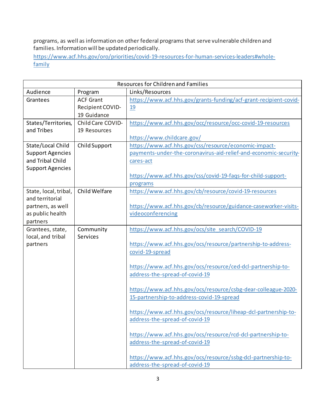programs, as well as information on other federal programs that serve vulnerable children and families. Information will be updated periodically.

[https://www.acf.hhs.gov/oro/priorities/covid-19-resources-for-human-services-leaders#whole](https://www.acf.hhs.gov/oro/priorities/covid-19-resources-for-human-services-leaders#whole-family)[family](https://www.acf.hhs.gov/oro/priorities/covid-19-resources-for-human-services-leaders#whole-family)

| <b>Resources for Children and Families</b> |                   |                                                                   |
|--------------------------------------------|-------------------|-------------------------------------------------------------------|
| Audience                                   | Program           | Links/Resources                                                   |
| Grantees                                   | <b>ACF Grant</b>  | https://www.acf.hhs.gov/grants-funding/acf-grant-recipient-covid- |
|                                            | Recipient COVID-  | 19                                                                |
|                                            | 19 Guidance       |                                                                   |
| States/Territories,                        | Child Care COVID- | https://www.acf.hhs.gov/occ/resource/occ-covid-19-resources       |
| and Tribes                                 | 19 Resources      |                                                                   |
|                                            |                   | https://www.childcare.gov/                                        |
| State/Local Child                          | Child Support     | https://www.acf.hhs.gov/css/resource/economic-impact-             |
| <b>Support Agencies</b>                    |                   | payments-under-the-coronavirus-aid-relief-and-economic-security-  |
| and Tribal Child                           |                   | cares-act                                                         |
| <b>Support Agencies</b>                    |                   |                                                                   |
|                                            |                   | https://www.acf.hhs.gov/css/covid-19-faqs-for-child-support-      |
|                                            |                   | programs                                                          |
| State, local, tribal,                      | Child Welfare     | https://www.acf.hhs.gov/cb/resource/covid-19-resources            |
| and territorial                            |                   |                                                                   |
| partners, as well                          |                   | https://www.acf.hhs.gov/cb/resource/guidance-caseworker-visits-   |
| as public health                           |                   | videoconferencing                                                 |
| partners                                   |                   |                                                                   |
| Grantees, state,                           | Community         | https://www.acf.hhs.gov/ocs/site search/COVID-19                  |
| local, and tribal                          | Services          |                                                                   |
| partners                                   |                   | https://www.acf.hhs.gov/ocs/resource/partnership-to-address-      |
|                                            |                   | covid-19-spread                                                   |
|                                            |                   | https://www.acf.hhs.gov/ocs/resource/ced-dcl-partnership-to-      |
|                                            |                   | address-the-spread-of-covid-19                                    |
|                                            |                   |                                                                   |
|                                            |                   | https://www.acf.hhs.gov/ocs/resource/csbg-dear-colleague-2020-    |
|                                            |                   | 15-partnership-to-address-covid-19-spread                         |
|                                            |                   |                                                                   |
|                                            |                   | https://www.acf.hhs.gov/ocs/resource/liheap-dcl-partnership-to-   |
|                                            |                   | address-the-spread-of-covid-19                                    |
|                                            |                   |                                                                   |
|                                            |                   | https://www.acf.hhs.gov/ocs/resource/rcd-dcl-partnership-to-      |
|                                            |                   | address-the-spread-of-covid-19                                    |
|                                            |                   |                                                                   |
|                                            |                   | https://www.acf.hhs.gov/ocs/resource/ssbg-dcl-partnership-to-     |
|                                            |                   | address-the-spread-of-covid-19                                    |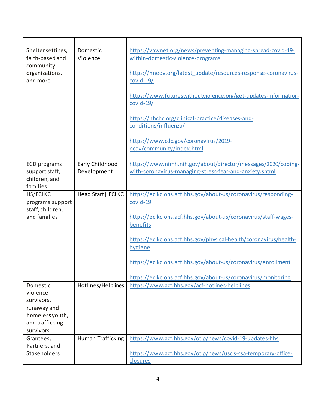| Shelter settings,   | Domestic           | https://vawnet.org/news/preventing-managing-spread-covid-19-      |
|---------------------|--------------------|-------------------------------------------------------------------|
| faith-based and     | Violence           | within-domestic-violence-programs                                 |
| community           |                    |                                                                   |
| organizations,      |                    | https://nnedv.org/latest_update/resources-response-coronavirus-   |
| and more            |                    | $covid-19/$                                                       |
|                     |                    |                                                                   |
|                     |                    | https://www.futureswithoutviolence.org/get-updates-information-   |
|                     |                    | $covid-19/$                                                       |
|                     |                    |                                                                   |
|                     |                    | https://nhchc.org/clinical-practice/diseases-and-                 |
|                     |                    | conditions/influenza/                                             |
|                     |                    |                                                                   |
|                     |                    | https://www.cdc.gov/coronavirus/2019-                             |
|                     |                    | ncov/community/index.html                                         |
|                     |                    |                                                                   |
| <b>ECD</b> programs | Early Childhood    | https://www.nimh.nih.gov/about/director/messages/2020/coping-     |
| support staff,      | Development        | with-coronavirus-managing-stress-fear-and-anxiety.shtml           |
| children, and       |                    |                                                                   |
| families            |                    |                                                                   |
| HS/ECLKC            | Head Start   ECLKC | https://eclkc.ohs.acf.hhs.gov/about-us/coronavirus/responding-    |
| programs support    |                    | covid-19                                                          |
| staff, children,    |                    |                                                                   |
| and families        |                    | https://eclkc.ohs.acf.hhs.gov/about-us/coronavirus/staff-wages-   |
|                     |                    | benefits                                                          |
|                     |                    |                                                                   |
|                     |                    | https://eclkc.ohs.acf.hhs.gov/physical-health/coronavirus/health- |
|                     |                    | hygiene                                                           |
|                     |                    |                                                                   |
|                     |                    | https://eclkc.ohs.acf.hhs.gov/about-us/coronavirus/enrollment     |
|                     |                    |                                                                   |
|                     |                    | https://eclkc.ohs.acf.hhs.gov/about-us/coronavirus/monitoring     |
| Domestic            | Hotlines/Helplines | https://www.acf.hhs.gov/acf-hotlines-helplines                    |
| violence            |                    |                                                                   |
| survivors,          |                    |                                                                   |
| runaway and         |                    |                                                                   |
| homeless youth,     |                    |                                                                   |
| and trafficking     |                    |                                                                   |
| survivors           |                    |                                                                   |
| Grantees,           | Human Trafficking  | https://www.acf.hhs.gov/otip/news/covid-19-updates-hhs            |
| Partners, and       |                    |                                                                   |
| Stakeholders        |                    | https://www.acf.hhs.gov/otip/news/uscis-ssa-temporary-office-     |
|                     |                    | closures                                                          |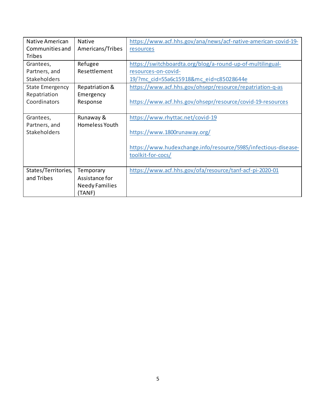| Native American        | <b>Native</b>         | https://www.acf.hhs.gov/ana/news/acf-native-american-covid-19- |
|------------------------|-----------------------|----------------------------------------------------------------|
| Communities and        | Americans/Tribes      | resources                                                      |
| <b>Tribes</b>          |                       |                                                                |
| Grantees,              | Refugee               | https://switchboardta.org/blog/a-round-up-of-multilingual-     |
| Partners, and          | Resettlement          | resources-on-covid-                                            |
| Stakeholders           |                       | 19/?mc cid=55a6c15918&mc eid=c85028644e                        |
| <b>State Emergency</b> | Repatriation &        | https://www.acf.hhs.gov/ohsepr/resource/repatriation-q-as      |
| Repatriation           | Emergency             |                                                                |
| Coordinators           | Response              | https://www.acf.hhs.gov/ohsepr/resource/covid-19-resources     |
|                        |                       |                                                                |
| Grantees,              | Runaway &             | https://www.rhyttac.net/covid-19                               |
| Partners, and          | Homeless Youth        |                                                                |
| Stakeholders           |                       | https://www.1800runaway.org/                                   |
|                        |                       |                                                                |
|                        |                       | https://www.hudexchange.info/resource/5985/infectious-disease- |
|                        |                       | toolkit-for-cocs/                                              |
|                        |                       |                                                                |
| States/Territories,    | Temporary             | https://www.acf.hhs.gov/ofa/resource/tanf-acf-pi-2020-01       |
| and Tribes             | Assistance for        |                                                                |
|                        | <b>Needy Families</b> |                                                                |
|                        | (TANF)                |                                                                |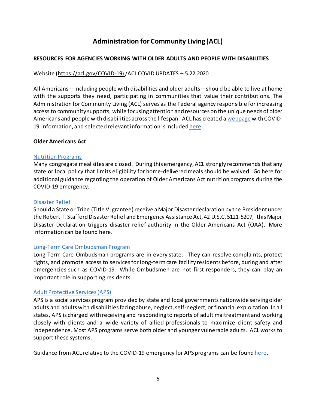# **Administration for Community Living (ACL)**

#### <span id="page-8-0"></span>**RESOURCES FOR AGENCIES WORKING WITH OLDER ADULTS AND PEOPLE WITH DISABILITIES**

#### Website [\(https://acl.gov/COVID-19\)](https://acl.gov/COVID-19) /ACL COVID UPDATES – [5.22.2020](https://content.govdelivery.com/accounts/USACL/bulletins/28d027c)

All Americans—including people with disabilities and older adults—should be able to live at home with the supports they need, participating in communities that value their contributions. The Administration for Community Living (ACL) serves as the Federal agency responsible for increasing access to community supports, while focusing attention and resources on the unique needs of older Americans and people with disabilities across the lifespan. ACL has created a [webpage](https://acl.gov/COVID-19) with COVID-19 information, and selected relevant information is included here.

#### **Older Americans Act**

#### Nutrition Programs

Many congregate meal sites are closed. During this emergency, ACL strongly recommends that any state or local policy that limits eligibility for home-delivered meals should be waived. Go [here](https://acl.gov/COVID-19) for additional guidance regarding the operation of Older Americans Act nutrition programs during the COVID-19 emergency.

#### Disaster Relief

Should a State or Tribe (Title VI grantee) receive a Major Disaster declaration by the President under the Robert T. Stafford Disaster Relief and Emergency Assistance Act, 42 U.S.C. 5121-5207, this Major Disaster Declaration triggers disaster relief authority in the Older Americans Act (OAA). More information can be found [here.](https://acl.gov/COVID-19)

#### Long-Term Care Ombudsman Program

Long-Term Care Ombudsman programs are in every state. They can resolve complaints, protect rights, and promote access to services for long-term care facility residents before, during and after emergencies such as COVID-19. While Ombudsmen are not first responders, they can play an important role in supporting residents.

#### Adult Protective Services (APS)

APS is a social services program provided by state and local governments nationwide serving older adults and adults with disabilities facing abuse, neglect, self-neglect, or financial exploitation. In all states, APS is charged with receiving and responding to reports of adult maltreatment and working closely with clients and a wide variety of allied professionals to maximize client safety and independence. Most APS programs serve both older and younger vulnerable adults. ACL works to support these systems.

Guidance from ACL relative to the COVID-19 emergency for APS programs can be found [here.](https://acl.gov/COVID-19)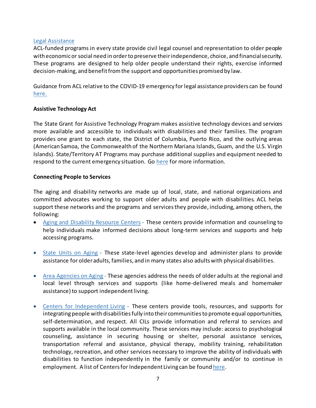#### Legal Assistance

ACL-funded programs in every state provide civil legal counsel and representation to older people with economic or social need in order to preserve their independence, choice, and financial security. These programs are designed to help older people understand their rights, exercise informed decision-making, and benefit from the support and opportunities promised by law.

Guidance from ACL relative to the COVID-19 emergency for legal assistance providers can be found [here.](https://acl.gov/COVID-19)

#### **Assistive Technology Act**

The State Grant for Assistive Technology Program makes assistive technology devices and services more available and accessible to individuals with disabilities and their families. The program provides one grant to each state, the District of Columbia, Puerto Rico, and the outlying areas (American Samoa, the Commonwealth of the Northern Mariana Islands, Guam, and the U.S. Virgin Islands). State/Territory AT Programs may purchase additional supplies and equipment needed to respond to the current emergency situation. Go [here](https://acl.gov/COVID-19) for more information.

#### **Connecting People to Services**

The aging and disability networks are made up of local, state, and national organizations and committed advocates working to support older adults and people with disabilities. ACL helps support these networks and the programs and services they provide, including, among others, the following:

- Aging and Disability Resource Centers These centers provide information and counseling to help individuals make informed decisions about long-term services and supports and help accessing programs.
- State Units on Aging These state-level agencies develop and administer plans to provide assistance for older adults, families, and in many states also adults with physical disabilities.
- Area Agencies on Aging These agencies address the needs of older adults at the regional and local level through services and supports (like home-delivered meals and homemaker assistance) to support independent living.
- Centers for Independent Living These centers provide tools, resources, and supports for integrating people with disabilities fully into their communities to promote equal opportunities, self-determination, and respect. All CILs provide information and referral to services and supports available in the local community. These services may include: access to psychological counseling, assistance in securing housing or shelter, personal assistance services, transportation referral and assistance, physical therapy, mobility training, rehabilitation technology, recreation, and other services necessary to improve the ability of individuals with disabilities to function independently in the family or community and/or to continue in employment. A list of Centers for Independent Living can be foun[d here.](https://acl.gov/programs/centers-independent-living/list-cils-and-spils)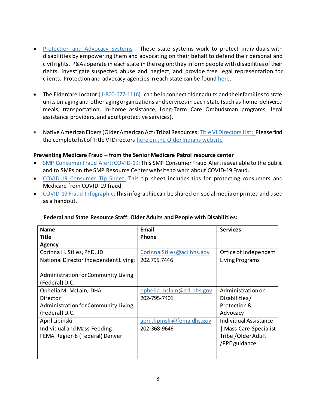- Protection and Advocacy Systems These state systems work to protect individuals with disabilities by empowering them and advocating on their behalf to defend their personal and civil rights. P&As operate in each state in the region; they inform people with disabilities of their rights, investigate suspected abuse and neglect, and provide free legal representation for clients. Protection and advocacy agencies in each state can be foun[d here.](https://acl.gov/programs/aging-and-disability-networks/state-protection-advocacy-systems)
- The [Eldercare Locator](https://eldercare.acl.gov/Public/index.aspx) (1-800-677-1116) can help connect older adults and their families to state units on aging and other aging organizations and services in each state (such as home-delivered meals, transportation, in-home assistance, Long-Term Care Ombudsman programs, legal assistance providers, and adult protective services).
- Native American Elders (Older American Act) Tribal Resources: Title VI Directors List: Please find the complete list of Title VI Directors [here on the Older Indians website](https://protect2.fireeye.com/url?k=57329e15-0b6797c5-5732af2a-0cc47a6a52de-ed7fed41bb589e7d&u=https://teyaservices.us15.list-manage.com/track/click?u=f28e15204626ec3771230344f&id=65c91e94aa&e=53ade98152)

#### **Preventing Medicare Fraud – from the Senior Medicare Patrol resource center**

- [SMP Consumer Fraud Alert: COVID-19:](https://www.smpresource.org/Content/Medicare-Fraud/SMP-Consumer-Fraud-Alerts/SMP-Consumer-Fraud-Alert-COVID-19.aspx) This SMP Consumer Fraud Alert is available to the public and to SMPs on the SMP Resource Center website to warn about COVID-19 Fraud.
- [COVID-19 Consumer Tip Sheet:](https://www.smpresource.org/Handler.ashx?Item_ID=81DF9DD9-7385-4E55-8BF8-457B71521BEB) This tip sheet includes tips for protecting consumers and Medicare from COVID-19 fraud.
- [COVID-19 Fraud Infographic:](https://www.smpresource.org/Handler.ashx?Item_ID=E632EFEB-BE9C-4474-BDC7-1A3D23D014CC) This infographic can be shared on social media or printed and used as a handout.

| <b>Name</b>                                | Email                       | <b>Services</b>       |
|--------------------------------------------|-----------------------------|-----------------------|
| Title                                      | <b>Phone</b>                |                       |
| <b>Agency</b>                              |                             |                       |
| Corinna H. Stiles, PhD, JD                 | Corinna.Stiles@acl.hhs.gov  | Office of Independent |
| National Director Independent Living:      | 202.795.7446                | Living Programs       |
|                                            |                             |                       |
| <b>Administration for Community Living</b> |                             |                       |
| (Federal) D.C.                             |                             |                       |
| Ophelia M. McLain, DHA                     | ophelia.mclain@acl.hhs.gov  | Administration on     |
| Director                                   | 202-795-7401                | Disabilities/         |
| Administration for Community Living        |                             | Protection &          |
| (Federal) D.C.                             |                             | Advocacy              |
| April Lipinski                             | april.lipinski@fema.dhs.gov | Individual Assistance |
| Individual and Mass Feeding                | 202-368-9646                | Mass Care Specialist  |
| FEMA Region 8 (Federal) Denver             |                             | Tribe /Older Adult    |
|                                            |                             | /PPE guidance         |
|                                            |                             |                       |
|                                            |                             |                       |

#### **Federal and State Resource Staff: Older Adults and People with Disabilities:**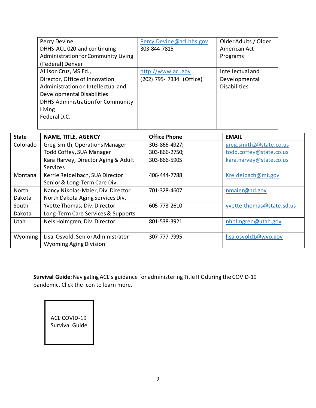|                                              | Percy Devine<br>DHHS-ACL 020 and continuing<br>Administration for Community Living<br>(Federal) Denver<br>Allison Cruz, MS Ed.,<br>Director, Office of Innovation<br>Administration on Intellectual and<br>Developmental Disabilities<br><b>DHHS Administration for Community</b><br>Living<br>Federal D.C. | Percy.Devine@acl.hhs.gov<br>303-844-7815<br>http://www.acl.gov<br>(202) 795- 7334 (Office) | Older Adults / Older<br>American Act<br>Programs<br>Intellectual and<br>Developmental<br><b>Disabilities</b> |  |
|----------------------------------------------|-------------------------------------------------------------------------------------------------------------------------------------------------------------------------------------------------------------------------------------------------------------------------------------------------------------|--------------------------------------------------------------------------------------------|--------------------------------------------------------------------------------------------------------------|--|
| <b>State</b>                                 | NAME, TITLE, AGENCY                                                                                                                                                                                                                                                                                         | <b>Office Phone</b>                                                                        | <b>EMAIL</b>                                                                                                 |  |
| Colorado                                     | Greg Smith, Operations Manager                                                                                                                                                                                                                                                                              | 303-866-4927;                                                                              | greg.smith2@state.co.us                                                                                      |  |
|                                              | Todd Coffey, SUA Manager                                                                                                                                                                                                                                                                                    | 303-866-2750;                                                                              | todd.coffey@state.co.us                                                                                      |  |
|                                              | Kara Harvey, Director Aging & Adult<br><b>Services</b>                                                                                                                                                                                                                                                      | 303-866-5905                                                                               | kara.harvey@state.co.us                                                                                      |  |
| Montana                                      | Kerrie Reidelbach, SUA Director                                                                                                                                                                                                                                                                             | 406-444-7788                                                                               | Kreidelbach@mt.gov                                                                                           |  |
|                                              | Senior & Long-Term Care Div.                                                                                                                                                                                                                                                                                |                                                                                            |                                                                                                              |  |
| <b>North</b>                                 | Nancy Nikolas-Maier, Div. Director                                                                                                                                                                                                                                                                          | 701-328-4607                                                                               | nmaier@nd.gov                                                                                                |  |
| Dakota                                       | North Dakota Aging Services Div.                                                                                                                                                                                                                                                                            |                                                                                            |                                                                                                              |  |
| Yvette Thomas, Div. Director<br>South        |                                                                                                                                                                                                                                                                                                             | 605-773-2610                                                                               | yvette.thomas@state.sd.us                                                                                    |  |
| Long-Term Care Services & Supports<br>Dakota |                                                                                                                                                                                                                                                                                                             |                                                                                            |                                                                                                              |  |
| Utah                                         | Nels Holmgren, Div. Director                                                                                                                                                                                                                                                                                | 801-538-3921                                                                               | nholmgren@utah.gov                                                                                           |  |
| Wyoming                                      | Lisa, Osvold, Senior Administrator<br><b>Wyoming Aging Division</b>                                                                                                                                                                                                                                         | 307-777-7995                                                                               | lisa.osvold1@wyo.gov                                                                                         |  |

**Survival Guide**: Navigating ACL's guidance for administering Title IIIC during the COVID-19 pandemic. Click the icon to learn more.

ACL COVID-19 Survival Guide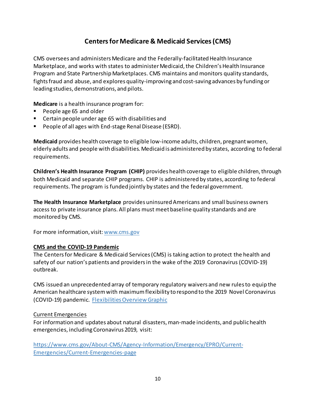# **Centers for Medicare & Medicaid Services(CMS)**

<span id="page-12-0"></span>CMS oversees and administers Medicare and the Federally-facilitated Health Insurance Marketplace, and works with states to administer Medicaid, the Children's Health Insurance Program and State Partnership Marketplaces. CMS maintains and monitors quality standards, fights fraud and abuse, and explores quality-improving and cost-saving advances by funding or leading studies, demonstrations, and pilots.

**Medicare** is a health insurance program for:

- People age 65 and older
- Certain people under age 65 with disabilities and
- People of all ages with End-stage Renal Disease (ESRD).

**Medicaid** provides health coverage to eligible low-income adults, children, pregnant women, elderly adults and people with disabilities. Medicaid is administered by states, according to federal requirements.

**Children's Health Insurance Program (CHIP)** provides health coverage to eligible children, through both Medicaid and separate CHIP programs. CHIP is administered by states, according to federal requirements. The program is funded jointly by states and the federal government.

**The Health Insurance Marketplace** provides uninsured Americans and small business owners access to private insurance plans. All plans must meet baseline quality standards and are monitored by CMS.

For more information, visit[: www.cms.gov](http://www.cms.gov/)

#### **CMS and the COVID-19 Pandemic**

The Centers for Medicare & Medicaid Services (CMS) is taking action to protect the health and safety of our nation's patients and providers in the wake of the 2019 Coronavirus (COVID-19) outbreak.

CMS issued an unprecedented array of temporary regulatory waivers and new rules to equip the American healthcare system with maximum flexibility to respond to the 2019 Novel Coronavirus (COVID-19) pandemic. [Flexibilities Overview Graphic](https://www.cms.gov/files/document/covid-flexibilities-overview-graphic.pdf)

#### Current Emergencies

For information and updates about natural disasters, man-made incidents, and public health emergencies, including Coronavirus 2019, visit:

[https://www.cms.gov/About-CMS/Agency-Information/Emergency/EPRO/Current-](https://www.cms.gov/About-CMS/Agency-Information/Emergency/EPRO/Current-Emergencies/Current-Emergencies-page)[Emergencies/Current-Emergencies-page](https://www.cms.gov/About-CMS/Agency-Information/Emergency/EPRO/Current-Emergencies/Current-Emergencies-page)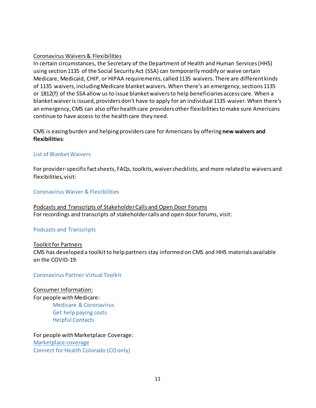#### Coronavirus Waivers & Flexibilities

In certain circumstances, the Secretary of the Department of Health and Human Services (HHS) using section 1135 of the Social Security Act (SSA) can temporarily modify or waive certain Medicare, Medicaid, CHIP, or HIPAA requirements, called 1135 waivers. There are different kinds of 1135 waivers, including Medicare blanket waivers. When there's an emergency, sections 1135 or 1812(f) of the SSA allow us to issue blanket waivers to help beneficiaries access care. When a blanket waiver is issued, providers don't have to apply for an individual 1135 waiver. When there's an emergency, CMS can also offer health care providers other flexibilities to make sure Americans continue to have access to the health care they need.

CMS is easing burden and helping providers care for Americans by offering **new waivers and flexibilities**:

#### [List of Blanket Waivers](https://www.cms.gov/files/document/summary-covid-19-emergency-declaration-waivers.pdf)

For provider-specific fact sheets, FAQs, toolkits, waiver checklists, and more related to waivers and flexibilities, visit:

#### [Coronavirus Waiver & Flexibilities](https://www.cms.gov/about-cms/emergency-preparedness-response-operations/current-emergencies/coronavirus-waivers)

Podcasts and Transcripts of Stakeholder Calls and Open Door Forums For recordings and transcripts of stakeholder calls and open door forums, visit:

#### [Podcasts and Transcripts](https://www.cms.gov/Outreach-and-Education/Outreach/OpenDoorForums/PodcastAndTranscripts)

#### Toolkit for Partners

CMS has developed a toolkit to help partners stay informed on CMS and HHS materials available on the COVID-19:

#### [Coronavirus Partner Virtual Toolkit](https://www.cms.gov/outreach-education/partner-resources/coronavirus-covid-19-partner-toolkit)

### Consumer Information: For people with Medicare: [Medicare & Coronavirus](https://www.medicare.gov/medicare-coronavirus) [Get help paying costs](https://www.medicare.gov/your-medicare-costs/get-help-paying-costs) [Helpful Contacts](https://www.medicare.gov/Contacts/)

For people with Marketplace Coverage: [Marketplace](https://www.healthcare.gov/) coverage Connect for Health Colorado [\(COonly\)](https://connectforhealthco.com/)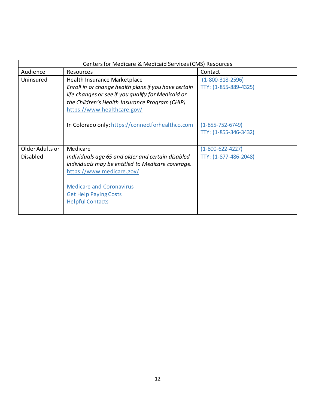| Centers for Medicare & Medicaid Services (CMS) Resources |                                                      |                          |  |  |
|----------------------------------------------------------|------------------------------------------------------|--------------------------|--|--|
| Audience                                                 | Resources                                            | Contact                  |  |  |
| Uninsured                                                | Health Insurance Marketplace                         | $(1 - 800 - 318 - 2596)$ |  |  |
|                                                          | Enroll in or change health plans if you have certain | TTY: (1-855-889-4325)    |  |  |
|                                                          | life changes or see if you qualify for Medicaid or   |                          |  |  |
|                                                          | the Children's Health Insurance Program (CHIP)       |                          |  |  |
|                                                          | https://www.healthcare.gov/                          |                          |  |  |
|                                                          |                                                      |                          |  |  |
|                                                          | In Colorado only: https://connectforhealthco.com     | $(1 - 855 - 752 - 6749)$ |  |  |
|                                                          |                                                      | TTY: (1-855-346-3432)    |  |  |
|                                                          |                                                      |                          |  |  |
| Older Adults or                                          | Medicare                                             | $(1 - 800 - 622 - 4227)$ |  |  |
| <b>Disabled</b>                                          | Individuals age 65 and older and certain disabled    | TTY: (1-877-486-2048)    |  |  |
|                                                          | individuals may be entitled to Medicare coverage.    |                          |  |  |
|                                                          | https://www.medicare.gov/                            |                          |  |  |
|                                                          |                                                      |                          |  |  |
|                                                          | <b>Medicare and Coronavirus</b>                      |                          |  |  |
|                                                          | <b>Get Help Paying Costs</b>                         |                          |  |  |
|                                                          | <b>Helpful Contacts</b>                              |                          |  |  |
|                                                          |                                                      |                          |  |  |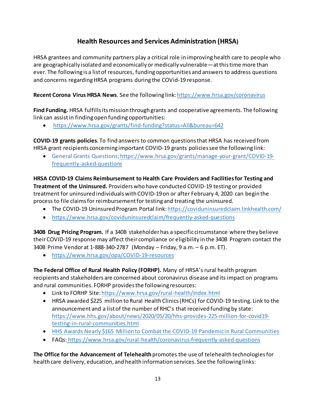# **Health Resources and Services Administration (HRSA)**

<span id="page-15-0"></span>HRSA grantees and community partners play a critical role in improving health care to people who are geographically isolated and economically or medically vulnerable—at this time more than ever. The following is a list of resources, funding opportunities and answers to address questions and concerns regarding HRSA programs during the COVid-19 response.

## **Recent Corona Virus HRSA News**. See the following link[: https://www.hrsa.gov/coronavirus](https://www.hrsa.gov/coronavirus)

**Find Funding.** HRSA fulfills its mission through grants and cooperative agreements. The following link can assist in finding open funding opportunities:

• <https://www.hrsa.gov/grants/find-funding?status=All&bureau=642>

**COVID-19 grants policies**. To find answers to common questions that HRSA has received from HRSA grant recipients concerning important COVID-19 grants policies see the following link:

• [General Grants Questions;](https://www.hrsa.gov/grants/manage-your-grant/COVID-19-frequently-asked-questions) [https://www.hrsa.gov/grants/manage-your-grant/COVID-19](https://www.hrsa.gov/grants/manage-your-grant/COVID-19-frequently-asked-questions) [frequently-asked-questions](https://www.hrsa.gov/grants/manage-your-grant/COVID-19-frequently-asked-questions)

**HRSA [COVID-19 Claims Reimbursement to Health Care Providers and Facilities for Testing and](https://coviduninsuredclaim.hrsa.gov/)  [Treatment of the Uninsured.](https://coviduninsuredclaim.hrsa.gov/)** Providers who have conducted COVID-19 testing or provided treatment for uninsured individuals with COVID-19 on or after February 4, 2020 can begin the process to file claims for reimbursement for testing and treating the uninsured.

- The COVID-19 Uninsured Program Portal link[: https://coviduninsuredclaim.linkhealth.com/](https://coviduninsuredclaim.linkhealth.com/)
- <https://www.hrsa.gov/coviduninsuredclaim/frequently-asked-questions>

**340B Drug Pricing Program.** If a 340B stakeholder has a specific circumstance where they believe their COVID-19 response may affect their compliance or eligibility in the 340B Program contact the 340B Prime Vendor at 1-888-340-2787 (Monday – Friday, 9 a.m. – 6 p.m. ET).

• <https://www.hrsa.gov/opa/COVID-19-resources>

**The Federal Office of Rural Health Policy (FORHP).** Many of HRSA's rural health program recipients and stakeholders are concerned about coronavirus disease and its impact on programs and rural communities. FORHP provides the following resources:

- Link to FORHP Site[: https://www.hrsa.gov/rural-health/index.html](https://www.hrsa.gov/rural-health/index.html)
- HRSA awarded \$225 million to Rural Health Clinics (RHCs) for COVID-19 testing. Link to the announcement and a list of the number of RHC's that received funding by state: [https://www.hhs.gov/about/news/2020/05/20/hhs-provides-225-million-for-covid19](https://www.hhs.gov/about/news/2020/05/20/hhs-provides-225-million-for-covid19-testing-in-rural-communities.html) [testing-in-rural-communities.html](https://www.hhs.gov/about/news/2020/05/20/hhs-provides-225-million-for-covid19-testing-in-rural-communities.html)
- HHS Awards Nearly \$165 Million to Combat the COVID-19 Pandemicin Rural [Communities](https://www.hhs.gov/about/news/2020/04/22/hhs-awards-nearly-165-million-to-combat-covid19-pandemic-in-rural-communities.html)
- FAQs: <https://www.hrsa.gov/rural-health/coronavirus-frequently-asked-questions>

**The Office for the Advancement of Telehealth**promotes the use of telehealth technologies for health care delivery, education, and health information services. See the following links: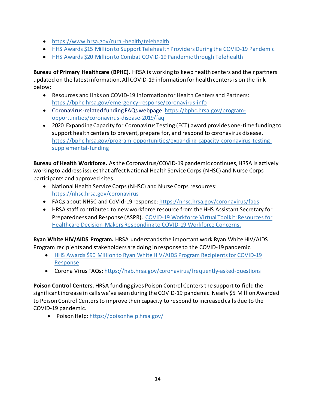- <https://www.hrsa.gov/rural-health/telehealth>
- [HHS Awards \\$15 Million to Support Telehealth Providers During the COVID-19 Pandemic](https://www.hhs.gov/about/news/2020/05/13/hhs-awards-15-million-to-support-telehealth-providers-during-covid19-pandemic.html)
- HHS Awards \$20 Million to Combat COVID-19 Pandemic through [Telehealth](https://www.hhs.gov/about/news/2020/04/30/hhs-awards-20-million-to-combat-covid19-pandemic-through-telehealth.html)

**Bureau of Primary Healthcare (BPHC).** HRSA is working to keep health centers and their partners updated on the latest information. All COVID-19 information for health centers is on the link below:

- Resources and links on COVID-19 Information for Health Centers and Partners: <https://bphc.hrsa.gov/emergency-response/coronavirus-info>
- Coronavirus-related funding FAQs webpage[: https://bphc.hrsa.gov/program](https://bphc.hrsa.gov/program-opportunities/coronavirus-disease-2019/faq)[opportunities/coronavirus-disease-2019/faq](https://bphc.hrsa.gov/program-opportunities/coronavirus-disease-2019/faq)
- 2020 Expanding Capacity for Coronavirus Testing (ECT) award provides one-time funding to support health centers to prevent, prepare for, and respond to coronavirus disease. [https://bphc.hrsa.gov/program-opportunities/expanding-capacity-coronavirus-testing](https://bphc.hrsa.gov/program-opportunities/expanding-capacity-coronavirus-testing-supplemental-funding)[supplemental-funding](https://bphc.hrsa.gov/program-opportunities/expanding-capacity-coronavirus-testing-supplemental-funding)

**Bureau of Health Workforce.** As the Coronavirus/COVID-19 pandemic continues, HRSA is actively working to address issues that affect National Health Service Corps (NHSC) and Nurse Corps participants and approved sites.

- National Health Service Corps (NHSC) and Nurse Corps resources: <https://nhsc.hrsa.gov/coronavirus>
- FAQs about NHSC and CoVid-19 response: https://nhsc.hrsa.gov/coronavirus/faqs
- HRSA staff contributed to new workforce resource from the HHS Assistant Secretary for Preparedness and Response (ASPR). [COVID-19 Workforce Virtual Toolkit: Resources for](https://lnks.gd/l/eyJhbGciOiJIUzI1NiJ9.eyJidWxsZXRpbl9saW5rX2lkIjoxMDAsInVyaSI6ImJwMjpjbGljayIsImJ1bGxldGluX2lkIjoiMjAyMDA1MDUuMjEwNzk1NTEiLCJ1cmwiOiJodHRwczovL2FzcHJ0cmFjaWUuaGhzLmdvdi9Xb3JrZm9yY2UtVmlydHVhbC1Ub29sa2l0In0.1PtQyMYe72zUv0CxOODy2tk1KkB8ICbhYsQXaHHmSvc/br/78252643255-l)  [Healthcare Decision-Makers Responding to COVID-19 Workforce Concerns.](https://lnks.gd/l/eyJhbGciOiJIUzI1NiJ9.eyJidWxsZXRpbl9saW5rX2lkIjoxMDAsInVyaSI6ImJwMjpjbGljayIsImJ1bGxldGluX2lkIjoiMjAyMDA1MDUuMjEwNzk1NTEiLCJ1cmwiOiJodHRwczovL2FzcHJ0cmFjaWUuaGhzLmdvdi9Xb3JrZm9yY2UtVmlydHVhbC1Ub29sa2l0In0.1PtQyMYe72zUv0CxOODy2tk1KkB8ICbhYsQXaHHmSvc/br/78252643255-l)

**Ryan White HIV/AIDS Program.** HRSA understands the important work Ryan White HIV/AIDS Program recipients and stakeholders are doing in response to the COVID-19 pandemic.

- HHS Awards \$90 Million to Ryan White HIV/AIDS Program Recipients for COVID-19 [Response](https://www.hhs.gov/about/news/2020/04/15/hhs-awards-90-million-ryan-white-hiv-aids-program-recipients-for-covid-19-response.html)
- Corona Virus FAQs[: https://hab.hrsa.gov/coronavirus/frequently-asked-questions](https://hab.hrsa.gov/coronavirus/frequently-asked-questions)

**Poison Control Centers.** HRSA funding gives Poison Control Centers the support to field the significant increase in calls we've seen during the COVID-19 pandemic. Nearly \$5 Million Awarded to Poison Control Centers to improve their capacity to respond to increased calls due to the COVID-19 pandemic.

• Poison Help[: https://poisonhelp.hrsa.gov/](https://poisonhelp.hrsa.gov/)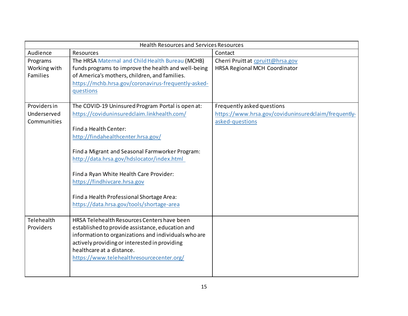| <b>Health Resources and Services Resources</b> |                                                                                                                                                                                                                                                                                                                                                                                                                                       |                                                                                                       |  |
|------------------------------------------------|---------------------------------------------------------------------------------------------------------------------------------------------------------------------------------------------------------------------------------------------------------------------------------------------------------------------------------------------------------------------------------------------------------------------------------------|-------------------------------------------------------------------------------------------------------|--|
| Audience                                       | <b>Resources</b>                                                                                                                                                                                                                                                                                                                                                                                                                      | Contact                                                                                               |  |
| Programs<br>Working with<br><b>Families</b>    | The HRSA Maternal and Child Health Bureau (MCHB)<br>funds programs to improve the health and well-being<br>of America's mothers, children, and families.<br>https://mchb.hrsa.gov/coronavirus-frequently-asked-<br>questions                                                                                                                                                                                                          | Cherri Pruitt at cpruitt@hrsa.gov<br>HRSA Regional MCH Coordinator                                    |  |
| Providers in<br>Underserved<br>Communities     | The COVID-19 Uninsured Program Portal is open at:<br>https://coviduninsuredclaim.linkhealth.com/<br>Find a Health Center:<br>http://findahealthcenter.hrsa.gov/<br>Find a Migrant and Seasonal Farmworker Program:<br>http://data.hrsa.gov/hdslocator/index.html<br>Find a Ryan White Health Care Provider:<br>https://findhivcare.hrsa.gov<br>Find a Health Professional Shortage Area:<br>https://data.hrsa.gov/tools/shortage-area | Frequently asked questions<br>https://www.hrsa.gov/coviduninsuredclaim/frequently-<br>asked-questions |  |
| Telehealth<br>Providers                        | HRSA Telehealth Resources Centers have been<br>established to provide assistance, education and<br>information to organizations and individuals who are<br>actively providing or interested in providing<br>healthcare at a distance.<br>https://www.telehealthresourcecenter.org/                                                                                                                                                    |                                                                                                       |  |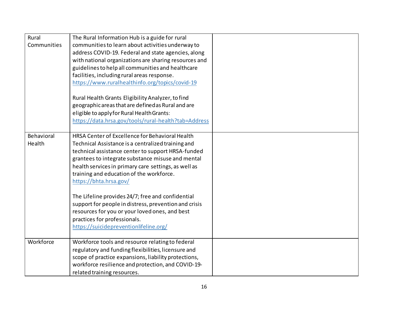| Rural       | The Rural Information Hub is a guide for rural        |  |
|-------------|-------------------------------------------------------|--|
|             |                                                       |  |
| Communities | communities to learn about activities underway to     |  |
|             | address COVID-19. Federal and state agencies, along   |  |
|             | with national organizations are sharing resources and |  |
|             | guidelines to help all communities and healthcare     |  |
|             | facilities, including rural areas response.           |  |
|             | https://www.ruralhealthinfo.org/topics/covid-19       |  |
|             |                                                       |  |
|             | Rural Health Grants Eligibility Analyzer, to find     |  |
|             | geographic areas that are defined as Rural and are    |  |
|             | eligible to apply for Rural Health Grants:            |  |
|             | https://data.hrsa.gov/tools/rural-health?tab=Address  |  |
|             |                                                       |  |
| Behavioral  | HRSA Center of Excellence for Behavioral Health       |  |
| Health      | Technical Assistance is a centralized training and    |  |
|             | technical assistance center to support HRSA-funded    |  |
|             | grantees to integrate substance misuse and mental     |  |
|             | health services in primary care settings, as well as  |  |
|             | training and education of the workforce.              |  |
|             | https://bhta.hrsa.gov/                                |  |
|             |                                                       |  |
|             | The Lifeline provides 24/7; free and confidential     |  |
|             | support for people in distress, prevention and crisis |  |
|             | resources for you or your loved ones, and best        |  |
|             |                                                       |  |
|             | practices for professionals.                          |  |
|             | https://suicidepreventionlifeline.org/                |  |
| Workforce   | Workforce tools and resource relating to federal      |  |
|             |                                                       |  |
|             | regulatory and funding flexibilities, licensure and   |  |
|             | scope of practice expansions, liability protections,  |  |
|             | workforce resilience and protection, and COVID-19-    |  |
|             | related training resources.                           |  |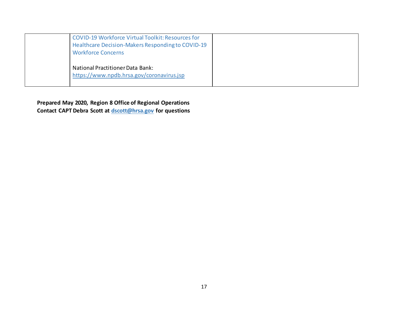| <b>COVID-19 Workforce Virtual Toolkit: Resources for</b><br>Healthcare Decision-Makers Responding to COVID-19<br><b>Workforce Concerns</b> |  |  |
|--------------------------------------------------------------------------------------------------------------------------------------------|--|--|
| National Practitioner Data Bank:<br>https://www.npdb.hrsa.gov/coronavirus.jsp                                                              |  |  |

**Prepared May 2020, Region 8 Office of Regional Operations Contact CAPT Debra Scott at [dscott@hrsa.gov](mailto:dscott@hrsa.gov) for questions**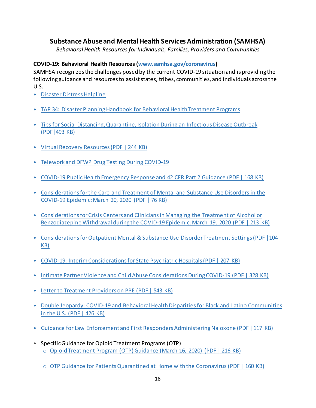# <span id="page-20-0"></span>**Substance Abuse and MentalHealth Services Administration (SAMHSA)**

*Behavioral Health Resources for Individuals, Families, Providers and Communities*

#### **COVID-19: Behavioral Health Resources [\(www.samhsa.gov/coronavirus\)](http://www.samhsa.gov/coronavirus)**

SAMHSA recognizes the challenges posed by the current COVID-19 situation and is providing the following guidance and resources to assist states, tribes, communities, and individuals across the U.S.

- [Disaster Distress Helpline](https://www.samhsa.gov/find-help/disaster-distress-helpline)
- [TAP 34: Disaster Planning Handbook for Behavioral Health Treatment Programs](https://store.samhsa.gov/product/TAP-34-Disaster-Planning-Handbook-for-Behavioral-Health-Treatment-Programs/SMA13-4779)
- [Tips for Social Distancing, Quarantine, Isolation During an Infectious Disease Outbreak](https://www.samhsa.gov/sites/default/files/tips-social-distancing-quarantine-isolation-031620.pdf)  [\(PDF|493 KB\)](https://www.samhsa.gov/sites/default/files/tips-social-distancing-quarantine-isolation-031620.pdf)
- [Virtual Recovery Resources \(PDF | 244 KB\)](https://www.samhsa.gov/sites/default/files/virtual-recovery-resources.pdf)
- [Telework and DFWP Drug Testing During COVID-19](https://www.samhsa.gov/workplace)
- [COVID-19 Public Health Emergency Response and 42 CFR Part 2 Guidance \(PDF | 168 KB\)](https://www.samhsa.gov/sites/default/files/covid-19-42-cfr-part-2-guidance-03192020.pdf)
- [Considerations for the Care and Treatment of Mental and Substance Use Disorders in the](https://www.samhsa.gov/sites/default/files/considerations-care-treatment-mental-substance-use-disorders-covid19.pdf)  [COVID-19 Epidemic: March 20, 2020 \(PDF | 76 KB\)](https://www.samhsa.gov/sites/default/files/considerations-care-treatment-mental-substance-use-disorders-covid19.pdf)
- [Considerations for Crisis Centers and Clinicians in Managing the Treatment of Alcohol or](https://www.samhsa.gov/sites/default/files/considerations-crisis-centers-clinicians-treatment-alcohol-benzodiazepine-withdrawal.pdf)  [Benzodiazepine Withdrawal during the COVID-19 Epidemic: March 19, 2020 \(PDF | 213 KB\)](https://www.samhsa.gov/sites/default/files/considerations-crisis-centers-clinicians-treatment-alcohol-benzodiazepine-withdrawal.pdf)
- [Considerations for Outpatient Mental & Substance Use Disorder Treatment Settings \(PDF |104](https://www.samhsa.gov/sites/default/files/considerations-outpatient-mental-substance-use-disorder-treatment-settings.pdf)  [KB\)](https://www.samhsa.gov/sites/default/files/considerations-outpatient-mental-substance-use-disorder-treatment-settings.pdf)
- [COVID-19: Interim Considerations for State Psychiatric Hospitals \(PDF | 207 KB\)](https://www.samhsa.gov/sites/default/files/covid19-interim-considerations-for-state-psychiatric-hospitals.pdf)
- [Intimate Partner Violence and Child Abuse Considerations During COVID-19 \(PDF | 328 KB\)](https://www.samhsa.gov/sites/default/files/social-distancing-domestic-violence.pdf)
- [Letter to Treatment Providers on PPE \(PDF | 543 KB\)](https://www.samhsa.gov/sites/default/files/samhsa-ppe-letter-treatment-providers.pdf)
- [Double Jeopardy: COVID-19 and Behavioral Health Disparities for Black and Latino Communities](https://www.samhsa.gov/sites/default/files/covid19-behavioral-health-disparities-black-latino-communities.pdf)  [in the U.S. \(PDF | 426](https://www.samhsa.gov/sites/default/files/covid19-behavioral-health-disparities-black-latino-communities.pdf) KB)
- [Guidance for Law Enforcement and First Responders Administering Naloxone \(PDF | 117 KB\)](https://www.samhsa.gov/sites/default/files/guidance-law-enforcement-first-responders-administering-naloxone.pdf)
- Specific Guidance for Opioid Treatment Programs (OTP) o [Opioid Treatment Program \(OTP\) Guidance \(March 16, 2020\) \(PDF | 216 KB\)](https://www.samhsa.gov/sites/default/files/otp-guidance-20200316.pdf)
	- $\circ$  [OTP Guidance for Patients Quarantined at Home with the Coronavirus \(PDF | 160 KB\)](https://www.samhsa.gov/sites/default/files/otp-covid-implementation-guidance.pdf)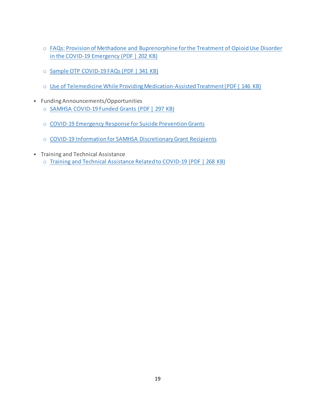- o [FAQs: Provision of Methadone and Buprenorphine forthe Treatment of Opioid Use Disorder](https://www.samhsa.gov/sites/default/files/faqs-for-oud-prescribing-and-dispensing.pdf)  [in the COVID-19 Emergency \(PDF | 202 KB\)](https://www.samhsa.gov/sites/default/files/faqs-for-oud-prescribing-and-dispensing.pdf)
- o [Sample OTP COVID-19 FAQs \(PDF | 341 KB\)](https://www.samhsa.gov/sites/default/files/sample-otp-covid-19-faqs.pdf)
- o [Use of Telemedicine While Providing Medication-Assisted Treatment \(PDF | 146 KB\)](https://www.samhsa.gov/sites/default/files/programs_campaigns/medication_assisted/telemedicine-dea-guidance.pdf)
- Funding Announcements/Opportunities
	- o [SAMHSA COVID-19 Funded Grants \(PDF | 297 KB\)](https://www.samhsa.gov/sites/default/files/covid19-programs-funded-samhsa.pdf)
	- o [COVID-19 Emergency Response for Suicide Prevention Grants](https://www.samhsa.gov/grants/grant-announcements/fg-20-007)
	- o [COVID-19 Information for SAMHSA Discretionary Grant Recipients](https://www.samhsa.gov/coronavirus/discretionary-grant-recipients)
- Training and Technical Assistance o [Training and Technical Assistance Related to COVID-19 \(PDF | 268 KB\)](https://www.samhsa.gov/sites/default/files/training-and-technical-assistance-covid19.pdf)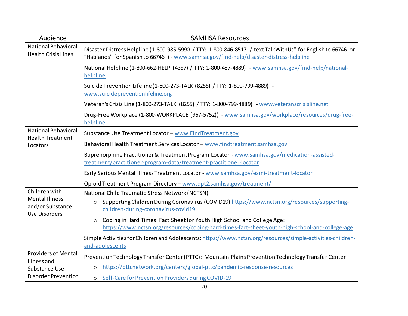| Audience                                                          | <b>SAMHSA Resources</b>                                                                                                                                                                                |
|-------------------------------------------------------------------|--------------------------------------------------------------------------------------------------------------------------------------------------------------------------------------------------------|
| <b>National Behavioral</b><br><b>Health Crisis Lines</b>          | Disaster Distress Helpline (1-800-985-5990 / TTY: 1-800-846-8517 / text TalkWithUs" for English to 66746 or<br>"Hablanos" for Spanish to 66746 ) - www.samhsa.gov/find-help/disaster-distress-helpline |
|                                                                   | National Helpline (1-800-662-HELP (4357) / TTY: 1-800-487-4889) - www.samhsa.gov/find-help/national-<br>helpline                                                                                       |
|                                                                   | Suicide Prevention Lifeline (1-800-273-TALK (8255) / TTY: 1-800-799-4889) -<br>www.suicidepreventionlifeline.org                                                                                       |
|                                                                   | Veteran's Crisis Line (1-800-273-TALK (8255) / TTY: 1-800-799-4889) - www.veteranscrisisline.net                                                                                                       |
|                                                                   | Drug-Free Workplace (1-800-WORKPLACE (967-5752)) - www.samhsa.gov/workplace/resources/drug-free-<br>helpline                                                                                           |
| <b>National Behavioral</b><br><b>Health Treatment</b>             | Substance Use Treatment Locator - www.FindTreatment.gov                                                                                                                                                |
| Locators                                                          | Behavioral Health Treatment Services Locator - www.findtreatment.samhsa.gov                                                                                                                            |
|                                                                   | Buprenorphine Practitioner & Treatment Program Locator - www.samhsa.gov/medication-assisted-<br>treatment/practitioner-program-data/treatment-practitioner-locator                                     |
|                                                                   | Early Serious Mental Illness Treatment Locator - www.samhsa.gov/esmi-treatment-locator                                                                                                                 |
|                                                                   | Opioid Treatment Program Directory - www.dpt2.samhsa.gov/treatment/                                                                                                                                    |
| Children with                                                     | National Child Traumatic Stress Network (NCTSN)                                                                                                                                                        |
| <b>Mental Illness</b><br>and/or Substance<br><b>Use Disorders</b> | Supporting Children During Coronavirus (COVID19) https://www.nctsn.org/resources/supporting-<br>$\circ$<br>children-during-coronavirus-covid19                                                         |
|                                                                   | Coping in Hard Times: Fact Sheet for Youth High School and College Age:<br>$\circ$<br>https://www.nctsn.org/resources/coping-hard-times-fact-sheet-youth-high-school-and-college-age                   |
|                                                                   | Simple Activities for Children and Adolescents: https://www.nctsn.org/resources/simple-activities-children-<br>and-adolescents                                                                         |
| <b>Providers of Mental</b>                                        | Prevention Technology Transfer Center (PTTC): Mountain Plains Prevention Technology Transfer Center                                                                                                    |
| Illness and<br>Substance Use                                      | https://pttcnetwork.org/centers/global-pttc/pandemic-response-resources<br>$\circ$                                                                                                                     |
| <b>Disorder Prevention</b>                                        | o Self-Care for Prevention Providers during COVID-19                                                                                                                                                   |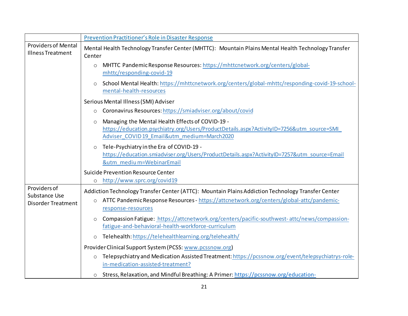|                                                        | Prevention Practitioner's Role in Disaster Response                                                                                                                                                    |
|--------------------------------------------------------|--------------------------------------------------------------------------------------------------------------------------------------------------------------------------------------------------------|
| <b>Providers of Mental</b><br><b>Illness Treatment</b> | Mental Health Technology Transfer Center (MHTTC): Mountain Plains Mental Health Technology Transfer<br>Center                                                                                          |
|                                                        | MHTTC Pandemic Response Resources: https://mhttcnetwork.org/centers/global-<br>$\circ$<br>mhttc/responding-covid-19                                                                                    |
|                                                        | School Mental Health: https://mhttcnetwork.org/centers/global-mhttc/responding-covid-19-school-<br>$\circ$<br>mental-health-resources                                                                  |
|                                                        | Serious Mental Illness (SMI) Adviser                                                                                                                                                                   |
|                                                        | o Coronavirus Resources: https://smiadviser.org/about/covid                                                                                                                                            |
|                                                        | Managing the Mental Health Effects of COVID-19 -<br>$\circ$<br>https://education.psychiatry.org/Users/ProductDetails.aspx?ActivityID=7256&utm_source=SMI<br>Adviser COVID19 Email&utm medium=March2020 |
|                                                        | Tele-Psychiatry in the Era of COVID-19 -<br>$\circ$<br>https://education.smiadviser.org/Users/ProductDetails.aspx?ActivityID=7257&utm_source=Email<br>&utm medium=WebinarEmail                         |
|                                                        | Suicide Prevention Resource Center                                                                                                                                                                     |
|                                                        | http://www.sprc.org/covid19<br>$\circ$                                                                                                                                                                 |
| Providers of<br>Substance Use                          | Addiction Technology Transfer Center (ATTC): Mountain Plains Addiction Technology Transfer Center                                                                                                      |
| <b>Disorder Treatment</b>                              | ATTC Pandemic Response Resources - https://attcnetwork.org/centers/global-attc/pandemic-<br>$\circ$<br>response-resources                                                                              |
|                                                        | Compassion Fatigue: https://attcnetwork.org/centers/pacific-southwest-attc/news/compassion-<br>$\circ$<br>fatigue-and-behavioral-health-workforce-curriculum                                           |
|                                                        | Telehealth: https://telehealthlearning.org/telehealth/<br>$\circ$                                                                                                                                      |
|                                                        | Provider Clinical Support System (PCSS: www.pcssnow.org)                                                                                                                                               |
|                                                        | Telepsychiatry and Medication Assisted Treatment: https://pcssnow.org/event/telepsychiatrys-role-<br>$\circ$                                                                                           |
|                                                        | in-medication-assisted-treatment?                                                                                                                                                                      |
|                                                        | Stress, Relaxation, and Mindful Breathing: A Primer: https://pcssnow.org/education-                                                                                                                    |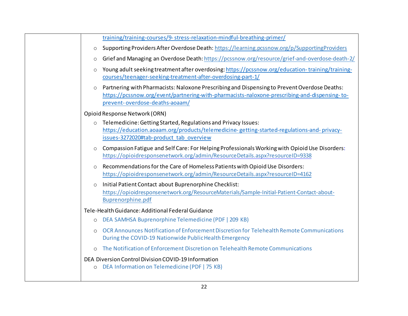|                                                   | training/training-courses/9-stress-relaxation-mindful-breathing-primer/                                                                                                                                                         |  |
|---------------------------------------------------|---------------------------------------------------------------------------------------------------------------------------------------------------------------------------------------------------------------------------------|--|
| $\circ$                                           | Supporting Providers After Overdose Death: https://learning.pcssnow.org/p/SupportingProviders                                                                                                                                   |  |
| O                                                 | Grief and Managing an Overdose Death: https://pcssnow.org/resource/grief-and-overdose-death-2/                                                                                                                                  |  |
| $\circ$                                           | Young adult seeking treatment after overdosing: https://pcssnow.org/education-training/training-<br>courses/teenager-seeking-treatment-after-overdosing-part-1/                                                                 |  |
| $\circ$                                           | Partnering with Pharmacists: Naloxone Prescribing and Dispensing to Prevent Overdose Deaths:<br>https://pcssnow.org/event/partnering-with-pharmacists-naloxone-prescribing-and-dispensing-to-<br>prevent-overdose-deaths-aoaam/ |  |
| Opioid Response Network (ORN)                     |                                                                                                                                                                                                                                 |  |
| $\circ$                                           | Telemedicine: Getting Started, Regulations and Privacy Issues:<br>https://education.aoaam.org/products/telemedicine-getting-started-regulations-and-privacy-<br>issues-3272020#tab-product tab overview                         |  |
| $\circ$                                           | Compassion Fatigue and Self Care: For Helping Professionals Working with Opioid Use Disorders:<br>https://opioidresponsenetwork.org/admin/ResourceDetails.aspx?resourceID=9338                                                  |  |
| $\circ$                                           | Recommendations for the Care of Homeless Patients with Opioid Use Disorders:<br>https://opioidresponsenetwork.org/admin/ResourceDetails.aspx?resourceID=4162                                                                    |  |
| $\circ$                                           | Initial Patient Contact about Buprenorphine Checklist:                                                                                                                                                                          |  |
|                                                   | https://opioidresponsenetwork.org/ResourceMaterials/Sample-Initial-Patient-Contact-about-<br>Buprenorphine.pdf                                                                                                                  |  |
| Tele-Health Guidance: Additional Federal Guidance |                                                                                                                                                                                                                                 |  |
| $\circ$                                           | DEA SAMHSA Buprenorphine Telemedicine (PDF   209 KB)                                                                                                                                                                            |  |
| $\circ$                                           | OCR Announces Notification of Enforcement Discretion for Telehealth Remote Communications<br>During the COVID-19 Nationwide Public Health Emergency                                                                             |  |
| $\circ$                                           | The Notification of Enforcement Discretion on Telehealth Remote Communications                                                                                                                                                  |  |
| $\circ$                                           | DEA Diversion Control Division COVID-19 Information<br>DEA Information on Telemedicine (PDF   75 KB)                                                                                                                            |  |
|                                                   |                                                                                                                                                                                                                                 |  |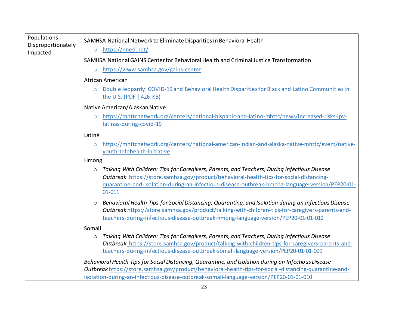| Populations<br>Disproportionately | SAMHSA National Network to Eliminate Disparities in Behavioral Health                                                                 |
|-----------------------------------|---------------------------------------------------------------------------------------------------------------------------------------|
| Impacted                          | https://nned.net/<br>$\circ$                                                                                                          |
|                                   | SAMHSA National GAINS Center for Behavioral Health and Criminal Justice Transformation                                                |
|                                   | https://www.samhsa.gov/gains-center<br>$\circ$                                                                                        |
|                                   | African American                                                                                                                      |
|                                   | Double Jeopardy: COVID-19 and Behavioral Health Disparities for Black and Latino Communities in<br>$\circ$<br>the U.S. (PDF   426 KB) |
|                                   | Native American/Alaskan Native                                                                                                        |
|                                   | https://mhttcnetwork.org/centers/national-hispanic-and-latino-mhttc/news/increased-risks-ipv-<br>$\circ$<br>latinas-during-covid-19   |
|                                   | LatinX                                                                                                                                |
|                                   | https://mhttcnetwork.org/centers/national-american-indian-and-alaska-native-mhttc/event/native-<br>$\circ$                            |
|                                   | youth-telehealth-initiative                                                                                                           |
|                                   | Hmong                                                                                                                                 |
|                                   | Talking With Children: Tips for Caregivers, Parents, and Teachers, During Infectious Disease<br>$\circ$                               |
|                                   | Outbreak https://store.samhsa.gov/product/behavioral-health-tips-for-social-distancing-                                               |
|                                   | guarantine-and-isolation-during-an-infectious-disease-outbreak-hmong-language-version/PEP20-01-                                       |
|                                   | 01-011                                                                                                                                |
|                                   | Behavioral Health Tips for Social Distancing, Quarantine, and Isolation during an Infectious Disease<br>$\circ$                       |
|                                   | Outbreak https://store.samhsa.gov/product/talking-with-children-tips-for-caregivers-parents-and-                                      |
|                                   | teachers-during-infectious-disease-outbreak-hmong-language-version/PEP20-01-01-012                                                    |
|                                   | Somali                                                                                                                                |
|                                   | Talking With Children: Tips for Caregivers, Parents, and Teachers, During Infectious Disease<br>$\circ$                               |
|                                   | Outbreak https://store.samhsa.gov/product/talking-with-children-tips-for-caregivers-parents-and-                                      |
|                                   | teachers-during-infectious-disease-outbreak-somali-language-version/PEP20-01-01-009                                                   |
|                                   | Behavioral Health Tips for Social Distancing, Quarantine, and Isolation during an Infectious Disease                                  |
|                                   | Outbreak https://store.samhsa.gov/product/behavioral-health-tips-for-social-distancing-quarantine-and-                                |
|                                   | isolation-during-an-infectious-disease-outbreak-somali-language-version/PEP20-01-01-010                                               |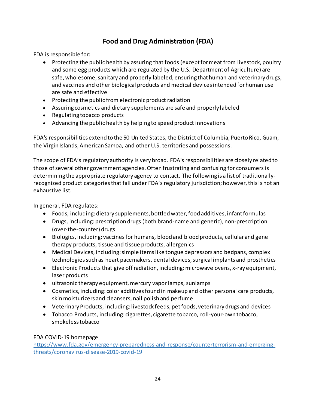# **Food and Drug Administration (FDA)**

<span id="page-26-0"></span>FDA is responsible for:

- Protecting the public health by assuring that foods (except for meat from livestock, poultry and some egg products which are regulated by the [U.S. Department of Agriculture\)](http://www.usda.gov/) are safe, wholesome, sanitary and properly labeled; ensuring that human and veterinary drugs, and vaccines and other biological products and medical devices intended for human use are safe and effective
- Protecting the public from electronic product radiation
- Assuring cosmetics and dietary supplements are safe and properly labeled
- Regulating tobacco products
- Advancing the public health by helping to speed product innovations

FDA's responsibilities extend to the 50 United States, the District of Columbia, Puerto Rico, Guam, the Virgin Islands, American Samoa, and other U.S. territories and possessions.

The scope of FDA's regulatory authority is very broad. FDA's responsibilities are closely related to those of several other government agencies. Often frustrating and confusing for consumers is determining the appropriate regulatory agency to contact. The following is a list of traditionallyrecognized product categories that fall under FDA's regulatory jurisdiction; however,this is not an exhaustive list.

In general, FDA regulates:

- Foods, including: dietary supplements, bottled water, food additives, infant formulas
- Drugs, including: prescription drugs (both brand-name and generic), non-prescription (over-the-counter) drugs
- Biologics, including: vaccines for humans, blood and blood products, cellular and gene therapy products, tissue and tissue products, allergenics
- Medical Devices, including: simple items like tongue depressors and bedpans, complex technologies such as heart pacemakers, dental devices, surgical implants and prosthetics
- Electronic Products that give off radiation, including: microwave ovens, x-ray equipment, laser products
- ultrasonic therapy equipment, mercury vapor lamps, sunlamps
- Cosmetics, including: color additives found in makeup and other personal care products, skin moisturizers and cleansers, nail polish and perfume
- Veterinary Products, including: livestock feeds, pet foods, veterinary drugs and devices
- Tobacco Products, including: cigarettes, cigarette tobacco, roll-your-own tobacco, smokeless tobacco

#### FDA COVID-19 homepage

[https://www.fda.gov/emergency-preparedness-and-response/counterterrorism-and-emerging](https://www.fda.gov/emergency-preparedness-and-response/counterterrorism-and-emerging-threats/coronavirus-disease-2019-covid-19)[threats/coronavirus-disease-2019-covid-19](https://www.fda.gov/emergency-preparedness-and-response/counterterrorism-and-emerging-threats/coronavirus-disease-2019-covid-19)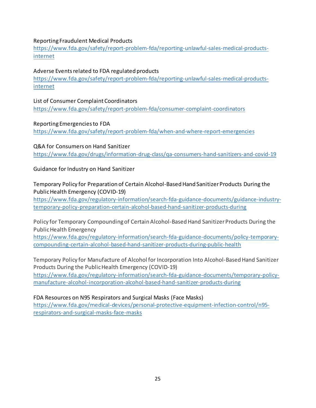#### Reporting Fraudulent Medical Products

[https://www.fda.gov/safety/report-problem-fda/reporting-unlawful-sales-medical-products](https://www.fda.gov/safety/report-problem-fda/reporting-unlawful-sales-medical-products-internet)[internet](https://www.fda.gov/safety/report-problem-fda/reporting-unlawful-sales-medical-products-internet)

#### Adverse Events related to FDA regulated products

[https://www.fda.gov/safety/report-problem-fda/reporting-unlawful-sales-medical-products](https://www.fda.gov/safety/report-problem-fda/reporting-unlawful-sales-medical-products-internet)[internet](https://www.fda.gov/safety/report-problem-fda/reporting-unlawful-sales-medical-products-internet)

List of Consumer Complaint Coordinators <https://www.fda.gov/safety/report-problem-fda/consumer-complaint-coordinators>

Reporting Emergencies to FDA

<https://www.fda.gov/safety/report-problem-fda/when-and-where-report-emergencies>

Q&A for Consumers on Hand Sanitizer <https://www.fda.gov/drugs/information-drug-class/qa-consumers-hand-sanitizers-and-covid-19>

Guidance for Industry on Hand Sanitizer

Temporary Policy for Preparation of Certain Alcohol-Based Hand Sanitizer Products During the Public Health Emergency (COVID-19)

[https://www.fda.gov/regulatory-information/search-fda-guidance-documents/guidance-industry](https://www.fda.gov/regulatory-information/search-fda-guidance-documents/guidance-industry-temporary-policy-preparation-certain-alcohol-based-hand-sanitizer-products-during)[temporary-policy-preparation-certain-alcohol-based-hand-sanitizer-products-during](https://www.fda.gov/regulatory-information/search-fda-guidance-documents/guidance-industry-temporary-policy-preparation-certain-alcohol-based-hand-sanitizer-products-during)

Policy for Temporary Compounding of Certain Alcohol-Based Hand Sanitizer Products During the Public Health Emergency

[https://www.fda.gov/regulatory-information/search-fda-guidance-documents/policy-temporary](https://www.fda.gov/regulatory-information/search-fda-guidance-documents/policy-temporary-compounding-certain-alcohol-based-hand-sanitizer-products-during-public-health)[compounding-certain-alcohol-based-hand-sanitizer-products-during-public-health](https://www.fda.gov/regulatory-information/search-fda-guidance-documents/policy-temporary-compounding-certain-alcohol-based-hand-sanitizer-products-during-public-health)

Temporary Policy for Manufacture of Alcohol for Incorporation Into Alcohol-Based Hand Sanitizer Products During the Public Health Emergency (COVID-19) [https://www.fda.gov/regulatory-information/search-fda-guidance-documents/temporary-policy](https://www.fda.gov/regulatory-information/search-fda-guidance-documents/temporary-policy-manufacture-alcohol-incorporation-alcohol-based-hand-sanitizer-products-during)[manufacture-alcohol-incorporation-alcohol-based-hand-sanitizer-products-during](https://www.fda.gov/regulatory-information/search-fda-guidance-documents/temporary-policy-manufacture-alcohol-incorporation-alcohol-based-hand-sanitizer-products-during)

FDA Resources on N95 Respirators and Surgical Masks (Face Masks)

[https://www.fda.gov/medical-devices/personal-protective-equipment-infection-control/n95](https://www.fda.gov/medical-devices/personal-protective-equipment-infection-control/n95-respirators-and-surgical-masks-face-masks) [respirators-and-surgical-masks-face-masks](https://www.fda.gov/medical-devices/personal-protective-equipment-infection-control/n95-respirators-and-surgical-masks-face-masks)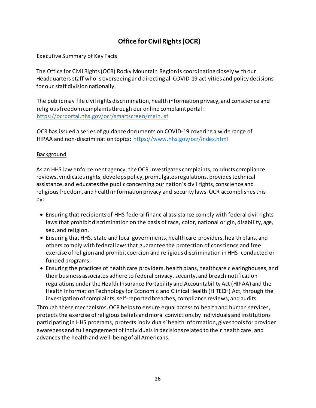# **Office for Civil Rights(OCR)**

#### <span id="page-28-0"></span>Executive Summary of Key Facts

The Office for Civil Rights (OCR) Rocky Mountain Region is coordinating closely with our Headquarters staff who is overseeing and directing all COVID-19 activities and policy decisions for our staff division nationally.

The public may file civil rights discrimination, health information privacy, and conscience and religious freedom complaints through our online complaint portal: <https://ocrportal.hhs.gov/ocr/smartscreen/main.jsf>

OCR has issued a series of guidance documents on COVID-19 covering a wide range of HIPAA and non-discrimination topics:<https://www.hhs.gov/ocr/index.html>

## Background

As an HHS law enforcement agency, the OCR investigates complaints, conducts compliance reviews, vindicates rights, develops policy, promulgates regulations, provides technical assistance, and educates the public concerning our nation's civil rights, conscience and religious freedom, and health information privacy and security laws. OCR accomplishes this by:

- Ensuring that recipients of HHS federal financial assistance comply with federal civil rights laws that prohibit discrimination on the basis of race, color, national origin, disability, age, sex, and religion.
- Ensuring that HHS, state and local governments, health care providers, health plans, and others comply with federal laws that guarantee the protection of conscience and free exercise of religion and prohibit coercion and religious discrimination in HHS- conducted or funded programs.
- Ensuring the practices of health care providers, health plans, healthcare clearinghouses, and their business associates adhere to federal privacy, security, and breach notification regulations under the Health Insurance Portability and Accountability Act (HIPAA) and the Health Information Technology for Economic and Clinical Health (HITECH) Act, through the investigation of complaints, self-reported breaches, compliance reviews, and audits.

Through these mechanisms, OCR helps to ensure equal access to health and human services, protects the exercise of religious beliefs and moral convictions by individuals and institutions participating in HHS programs, protects individuals' health information, gives tools for provider awareness and full engagement of individuals in decisions related to their health care, and advances the health and well-being of all Americans.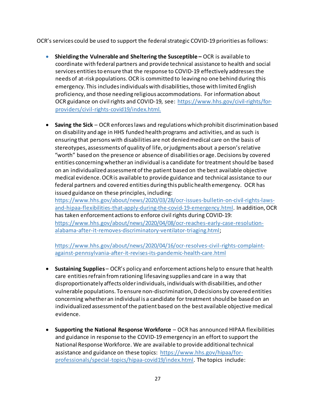OCR's services could be used to support the federal strategic COVID-19 priorities as follows:

- **Shielding the Vulnerable and Sheltering the Susceptible –** OCR is available to coordinate with federal partners and provide technical assistance to health and social services entities to ensure that the response to COVID-19 effectively addresses the needs of at-risk populations. OCR is committed to leaving no one behind during this emergency. This includes individuals with disabilities, those with limited English proficiency, and those needing religious accommodations. For information about OCR guidance on civil rights and COVID-19, see: [https://www.hhs.gov/civil-rights/for](https://www.hhs.gov/civil-rights/for-providers/civil-rights-covid19/index.html)[providers/civil-rights-covid19/index.html](https://www.hhs.gov/civil-rights/for-providers/civil-rights-covid19/index.html).
- **Saving the Sick**  OCR enforces laws and regulations which prohibit discrimination based on disability and age in HHS funded health programs and activities, and as such is ensuring that persons with disabilities are not denied medical care on the basis of stereotypes, assessments of quality of life, or judgments about a person's relative "worth" based on the presence or absence of disabilities or age. Decisions by covered entities concerning whether an individual is a candidate for treatment should be based on an individualized assessment of the patient based on the best available objective medical evidence. OCR is available to provide guidance and technical assistance to our federal partners and covered entities during this public health emergency. OCR has issued guidance on these principles, including:

[https://www.hhs.gov/about/news/2020/03/28/ocr-issues-bulletin-on-civil-rights-laws](https://www.hhs.gov/about/news/2020/03/28/ocr-issues-bulletin-on-civil-rights-laws-and-hipaa-flexibilities-that-apply-during-the-covid-19-emergency.html)[and-hipaa-flexibilities-that-apply-during-the-covid-19-emergency.html](https://www.hhs.gov/about/news/2020/03/28/ocr-issues-bulletin-on-civil-rights-laws-and-hipaa-flexibilities-that-apply-during-the-covid-19-emergency.html). In addition, OCR has taken enforcement actions to enforce civil rights during COVID-19: [https://www.hhs.gov/about/news/2020/04/08/ocr-reaches-early-case-resolution](https://www.hhs.gov/about/news/2020/04/08/ocr-reaches-early-case-resolution-alabama-after-it-removes-discriminatory-ventilator-triaging.html)[alabama-after-it-removes-discriminatory-ventilator-triaging.html;](https://www.hhs.gov/about/news/2020/04/08/ocr-reaches-early-case-resolution-alabama-after-it-removes-discriminatory-ventilator-triaging.html)

[https://www.hhs.gov/about/news/2020/04/16/ocr-resolves-civil-rights-complaint](https://www.hhs.gov/about/news/2020/04/16/ocr-resolves-civil-rights-complaint-against-pennsylvania-after-it-revises-its-pandemic-health-care.html)[against-pennsylvania-after-it-revises-its-pandemic-health-care.html](https://www.hhs.gov/about/news/2020/04/16/ocr-resolves-civil-rights-complaint-against-pennsylvania-after-it-revises-its-pandemic-health-care.html)

- **Sustaining Supplies**  OCR's policy and enforcement actions help to ensure that health care entities refrain from rationing lifesaving supplies and care in a way that disproportionately affects older individuals, individuals with disabilities, and other vulnerable populations. To ensure non-discrimination, D decisions by covered entities concerning whether an individual is a candidate for treatment should be based on an individualized assessment of the patient based on the best available objective medical evidence.
- **Supporting the National Response Workforce**  OCR has announced HIPAA flexibilities and guidance in response to the COVID-19 emergency in an effort to support the National Response Workforce. We are available to provide additional technical assistance and guidance on these topics: [https://www.hhs.gov/hipaa/for](https://www.hhs.gov/hipaa/for-professionals/special-topics/hipaa-covid19/index.html)[professionals/special-topics/hipaa-covid19/index.html](https://www.hhs.gov/hipaa/for-professionals/special-topics/hipaa-covid19/index.html). The topics include: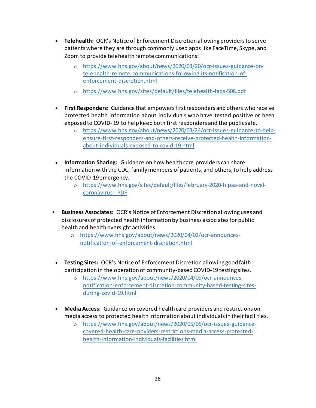- **Telehealth:** OCR's Notice of Enforcement Discretion allowing providers to serve patients where they are through commonly used apps like FaceTime, Skype, and Zoom to provide telehealth remote communications:
	- o [https://www.hhs.gov/about/news/2020/03/20/ocr-issues-guidance-on](https://www.hhs.gov/about/news/2020/03/20/ocr-issues-guidance-on-telehealth-remote-communications-following-its-notification-of-enforcement-discretion.html)[telehealth-remote-communications-following-its-notification-of](https://www.hhs.gov/about/news/2020/03/20/ocr-issues-guidance-on-telehealth-remote-communications-following-its-notification-of-enforcement-discretion.html)[enforcement-discretion.html](https://www.hhs.gov/about/news/2020/03/20/ocr-issues-guidance-on-telehealth-remote-communications-following-its-notification-of-enforcement-discretion.html)
	- o <https://www.hhs.gov/sites/default/files/telehealth-faqs-508.pdf>
- **First Responders:** Guidance that empowers first responders and others who receive protected health information about individuals who have tested positive or been exposed to COVID- 19 to help keep both first responders and the public safe.
	- o [https://www.hhs.gov/about/news/2020/03/24/ocr-issues-guidance-to-help](https://www.hhs.gov/about/news/2020/03/24/ocr-issues-guidance-to-help-ensure-first-responders-and-others-receive-protected-health-information-about-individuals-exposed-to-covid-19.html)[ensure-first-responders-and-others-receive-protected-health-information](https://www.hhs.gov/about/news/2020/03/24/ocr-issues-guidance-to-help-ensure-first-responders-and-others-receive-protected-health-information-about-individuals-exposed-to-covid-19.html)[about-individuals-exposed-to-covid-19.html](https://www.hhs.gov/about/news/2020/03/24/ocr-issues-guidance-to-help-ensure-first-responders-and-others-receive-protected-health-information-about-individuals-exposed-to-covid-19.html)
- **Information Sharing:** Guidance on how health care providers can share information with the CDC, family members of patients, and others, to help address the COVID-19emergency.
	- o [https://www.hhs.gov/sites/default/files/february-2020-hipaa-and-novel](https://www.hhs.gov/sites/default/files/february-2020-hipaa-and-novel-coronavirus.pdf)[coronavirus -](https://www.hhs.gov/sites/default/files/february-2020-hipaa-and-novel-coronavirus.pdf) PDF
- **Business Associates:** OCR's Notice of Enforcement Discretion allowing uses and disclosures of protected health information by business associates for public health and health oversight activities.
	- o [https://www.hhs.gov/about/news/2020/04/02/ocr-announces](https://www.hhs.gov/about/news/2020/04/02/ocr-announces-notification-of-enforcement-discretion.html)[notification-of-enforcement-discretion.html](https://www.hhs.gov/about/news/2020/04/02/ocr-announces-notification-of-enforcement-discretion.html)
- **Testing Sites:** OCR's Notice of Enforcement Discretion allowing good faith participation in the operation of community-based COVID-19 testing sites.
	- o [https://www.hhs.gov/about/news/2020/04/09/ocr-announces](https://www.hhs.gov/about/news/2020/04/09/ocr-announces-notification-enforcement-discretion-community-based-testing-sites-during-covid-19.html)[notification-enforcement-discretion-community-based-testing-sites](https://www.hhs.gov/about/news/2020/04/09/ocr-announces-notification-enforcement-discretion-community-based-testing-sites-during-covid-19.html)[during-covid-19.html](https://www.hhs.gov/about/news/2020/04/09/ocr-announces-notification-enforcement-discretion-community-based-testing-sites-during-covid-19.html)
- **Media Access:** Guidance on covered health care providers and restrictions on media access to protected health information about individuals in their facilities.
	- o [https://www.hhs.gov/about/news/2020/05/05/ocr-issues-guidance](https://www.hhs.gov/about/news/2020/05/05/ocr-issues-guidance-covered-health-care-poviders-restrictions-media-access-protected-health-information-individuals-facilities.html)[covered-health-care-poviders-restrictions-media-access-protected](https://www.hhs.gov/about/news/2020/05/05/ocr-issues-guidance-covered-health-care-poviders-restrictions-media-access-protected-health-information-individuals-facilities.html)[health-information-individuals-facilities.html](https://www.hhs.gov/about/news/2020/05/05/ocr-issues-guidance-covered-health-care-poviders-restrictions-media-access-protected-health-information-individuals-facilities.html)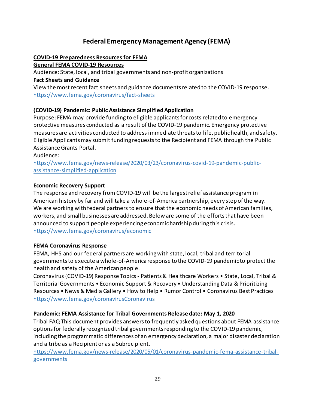# **Federal Emergency Management Agency (FEMA)**

#### <span id="page-31-0"></span>**COVID-19 Preparedness Resources for FEMA**

**General FEMA COVID-19 Resources**

Audience: State, local, and tribal governments and non-profit organizations **Fact Sheets and Guidance**  View the most recent fact sheets and guidance documents related to the COVID-19 response. <https://www.fema.gov/coronavirus/fact-sheets>

#### **(COVID-19) Pandemic: Public Assistance Simplified Application**

Purpose: FEMA may provide funding to eligible applicants for costs related to emergency protective measures conducted as a result of the COVID-19 pandemic. Emergency protective measures are activities conducted to address immediate threats to life, public health, and safety. Eligible Applicants may submit funding requests to the Recipient and FEMA through the Public Assistance Grants Portal.

#### Audience:

[https://www.fema.gov/news-release/2020/03/23/coronavirus-covid-19-pandemic-public](https://www.fema.gov/news-release/2020/03/23/coronavirus-covid-19-pandemic-public-assistance-simplified-application)[assistance-simplified-application](https://www.fema.gov/news-release/2020/03/23/coronavirus-covid-19-pandemic-public-assistance-simplified-application)

#### **Economic Recovery Support**

The response and recovery from COVID-19 will be the largest relief assistance program in American history by far and will take a whole-of-America partnership, every step of the way. We are working with federal partners to ensure that the economic needs of American families, workers, and small businesses are addressed. Below are some of the efforts that have been announced to support people experiencing economic hardship during this crisis. <https://www.fema.gov/coronavirus/economic>

#### **FEMA Coronavirus Response**

FEMA, HHS and our federal partners are working with state, local, tribal and territorial governments to execute a whole-of-America response to the COVID-19 pandemic to protect the health and safety of the American people.

Coronavirus (COVID-19) Response Topics - Patients & Healthcare Workers • State, Local, Tribal & Territorial Governments • Economic Support & Recovery • Understanding Data & Prioritizing Resources • News & Media Gallery • How to Help • Rumor Control • Coronavirus Best Practices <https://www.fema.gov/coronavirusCoronavirus>

#### **Pandemic: FEMA Assistance for Tribal Governments Release date: May 1, 2020**

Tribal FAQ This document provides answers to frequently asked questions about FEMA assistance options for federally recognized tribal governments responding to the COVID-19 pandemic, including the programmatic differences of an emergency declaration, a major disaster declaration and a tribe as a Recipient or as a Subrecipient.

[https://www.fema.gov/news-release/2020/05/01/coronavirus-pandemic-fema-assistance-tribal](https://www.fema.gov/news-release/2020/05/01/coronavirus-pandemic-fema-assistance-tribal-governments)[governments](https://www.fema.gov/news-release/2020/05/01/coronavirus-pandemic-fema-assistance-tribal-governments)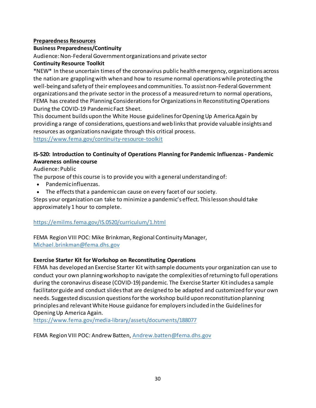#### **Preparedness Resources**

#### **Business Preparedness/Continuity**

Audience: Non-Federal Government organizations and private sector

#### **Continuity Resource Toolkit**

\*NEW\* In these uncertain times of the coronavirus public health emergency, organizations across the nation are grappling with when and how to resume normal operations while protecting the well-being and safety of their employees and communities. To assist non-Federal Government organizations and the private sector in the process of a measured return to normal operations, FEMA has created the Planning Considerations for Organizations in Reconstituting Operations During the COVID-19 Pandemic Fact Sheet.

This document builds upon the White House guidelines for Opening Up America Again by providing a range of considerations, questions and web links that provide valuable insights and resources as organizations navigate through this critical process.

<https://www.fema.gov/continuity-resource-toolkit>

## **IS-520: Introduction to Continuity of Operations Planning for Pandemic Influenzas - Pandemic Awareness online course**

Audience: Public

The purpose of this course is to provide you with a general understanding of:

- Pandemic influenzas.
- The effects that a pandemic can cause on every facet of our society.

Steps your organization can take to minimize a pandemic's effect. This lesson should take approximately 1 hour to complete.

#### <https://emilms.fema.gov/IS.0520/curriculum/1.html>

FEMA Region VIII POC: Mike Brinkman, Regional Continuity Manager, [Michael.brinkman@fema.dhs.gov](mailto:Michael.brinkman@fema.dhs.gov)

#### **Exercise Starter Kit for Workshop on Reconstituting Operations**

FEMA has developed an Exercise Starter Kit with sample documents your organization can use to conduct your own planning workshop to navigate the complexities of returning to full operations during the coronavirus disease (COVID-19) pandemic. The Exercise Starter Kit includes a sample facilitator guide and conduct slides that are designed to be adapted and customized for your own needs. Suggested discussion questions for the workshop build upon reconstitution planning principles and relevant White House guidance for employers included in the [Guidelines for](http://www.whitehouse.gov/openingamerica/)  [Opening Up America Again.](http://www.whitehouse.gov/openingamerica/)

<https://www.fema.gov/media-library/assets/documents/188077>

FEMA Region VIII POC: Andrew Batten[, Andrew.batten@fema.dhs.gov](mailto:Andrew.batten@fema.dhs.gov)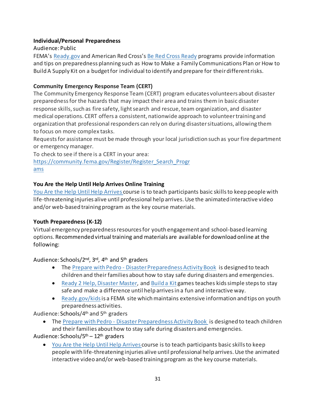## **Individual/Personal Preparedness**

Audience: Public

FEMA's [Ready.gov](https://www.ready.gov/plan) and American Red Cross'[s Be Red Cross Ready](https://www.redcross.org/get-help/how-to-prepare-for-emergencies.html) programs provide information and tips on preparedness planning such as How to Make a Family Communications Plan or How to Build A Supply Kit on a budget for individual to identify and prepare for their different risks.

## **Community Emergency Response Team (CERT)**

The Community Emergency Response Team (CERT) program educates volunteers about disaster preparedness for the hazards that may impact their area and trains them in basic disaster response skills, such as fire safety, light search and rescue, team organization, and disaster medical operations. CERT offers a consistent, nationwide approach to volunteer training and organization that professional responders can rely on during disaster situations, allowing them to focus on more complex tasks.

Requests for assistance must be made through your local jurisdiction such as your fire department or emergency manager.

To check to see if there is a CERT in your area:

[https://community.fema.gov/Register/Register\\_Search\\_Progr](https://community.fema.gov/Register/Register_Search_Programs) [ams](https://community.fema.gov/Register/Register_Search_Programs)

## **You Are the Help Until Help Arrives Online Training**

[You Are the Help Until Help Arrives](https://community.fema.gov/until-help-arrives) course is to teach participants basic skills to keep people with life-threatening injuries alive until professional help arrives. Use the animated interactive video and/or web-based training program as the key course materials.

#### **Youth Preparedness (K-12)**

Virtual emergency preparedness resources for youth engagement and school-based learning options. Recommended virtual training and materials are available for download online at the following:

## Audience: Schools/2<sup>nd</sup>, 3<sup>rd</sup>, 4<sup>th</sup> and 5<sup>th</sup> graders

- The Prepare with Pedro [Disaster Preparedness Activity Book](https://www.ready.gov/sites/default/files/2019-06/prepare_with_pedro_activity_book_eng.pdf) is designed to teach children and their families about how to stay safe during disasters and emergencies.
- [Ready 2 Help, Disaster Master,](https://community.fema.gov/game) an[d Build a Kit](https://www.ready.gov/kids/games/build-a-kit-game) games teaches kids simple steps to stay safe and make a difference until help arrives in a fun and interactive way.
- [Ready.gov/kids](https://www.ready.gov/kids)is a FEMA site which maintains extensive information and tips on youth preparedness activities.

Audience: Schools/4<sup>th</sup> and 5<sup>th</sup> graders

• The Prepare with Pedro - [Disaster Preparedness Activity Book](https://www.ready.gov/sites/default/files/2019-06/prepare_with_pedro_activity_book_eng.pdf) is designed to teach children and their families about how to stay safe during disasters and emergencies.

Audience: Schools/ $5<sup>th</sup> - 12<sup>th</sup>$  graders

• [You Are the Help Until Help Arrives](https://community.fema.gov/until-help-arrives) course is to teach participants basic skills to keep people with life-threatening injuries alive until professional help arrives. Use the animated interactive video and/or web-based trainingprogram as the key course materials.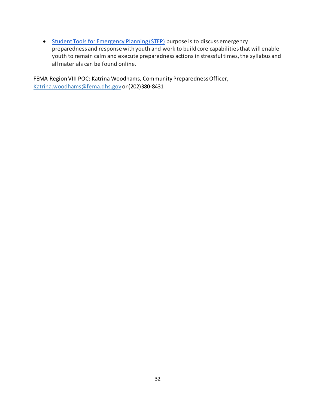• [Student Tools for Emergency Planning \(STEP\)](https://www.ready.gov/student-tools-emergency-planning-step) purpose is to discuss emergency preparedness and response with youth and work to build core capabilities that will enable youth to remain calm and execute preparedness actions in stressful times, the syllabus and all materials can be found online.

FEMA Region VIII POC: Katrina Woodhams, Community Preparedness Officer, [Katrina.woodhams@fema.dhs.gov](mailto:Katrina.woodhams@fema.dhs.gov) or (202)380-8431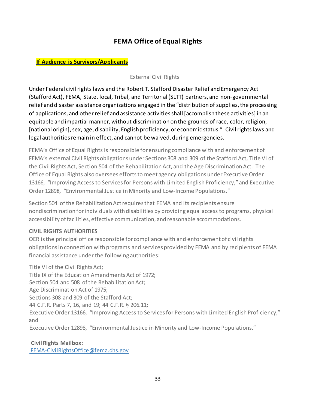# **FEMA Office of Equal Rights**

## **If Audience is Survivors/Applicants**

#### External Civil Rights

Under Federal civil rights laws and the Robert T. Stafford Disaster Relief and Emergency Act (Stafford Act), FEMA, State, local, Tribal, and Territorial (SLTT) partners, and non-governmental relief and disaster assistance organizations engaged in the "distribution of supplies, the processing of applications, and other relief and assistance activities shall [accomplish these activities] in an equitable and impartial manner, without discrimination on the grounds of race, color, religion, [national origin], sex, age, disability, English proficiency, or economic status." Civil rights laws and legal authorities remain in effect, and cannot be waived, during emergencies.

FEMA's Office of Equal Rights is responsible for ensuring compliance with and enforcement of FEMA's external Civil Rights obligations under Sections 308 and 309 of the Stafford Act, Title VI of the Civil Rights Act, Section 504 of the Rehabilitation Act, and the Age Discrimination Act. The Office of Equal Rights also oversees efforts to meet agency obligations under Executive Order 13166, "Improving Access to Services for Persons with Limited English Proficiency,"and Executive Order 12898, "Environmental Justice in Minority and Low-Income Populations."

Section 504 of the Rehabilitation Act requires that FEMA and its recipients ensure nondiscrimination for individuals with disabilities by providing equal access to programs, physical accessibility of facilities, effective communication, and reasonable accommodations.

#### **CIVIL RIGHTS AUTHORITIES**

OER is the principal office responsible for compliance with and enforcement of civil rights obligations in connection with programs and services provided by FEMA and by recipients of FEMA financial assistance under the following authorities:

Title VI of the Civil Rights Act;

Title IX of the Education Amendments Act of 1972;

Section 504 and 508 of the Rehabilitation Act;

Age Discrimination Act of 1975;

Sections 308 and 309 of the Stafford Act;

44 C.F.R. Parts 7, 16, and 19; 44 C.F.R. § 206.11;

 Executive Order 13166, "Improving Access to Services for Persons with Limited English Proficiency;" and

Executive Order 12898, "Environmental Justice in Minority and Low-Income Populations."

## **Civil Rights Mailbox:**

[FEMA-CivilRightsOffice@fema.dhs.gov](mailto:FE%20%20FEMA-CivilRightsOffice@fema.dhs.gov)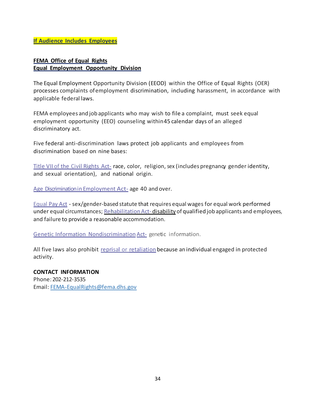#### **If Audience Includes Employees**

#### **FEMA Office of Equal Rights Equal Employment Opportunity Division**

The Equal Employment Opportunity Division (EEOD) within the Office of Equal Rights (OER) processes complaints ofemployment discrimination, including harassment, in accordance with applicable federal laws.

FEMA employees and job applicants who may wish to file a complaint, must seek equal employment opportunity (EEO) counseling within45 calendar days of an alleged discriminatory act.

Five federal anti-discrimination laws protect job applicants and employees from discrimination based on nine bases:

Title VII of the Civil Rights Act- race, color, religion, sex (includes pregnancy gender identity, and sexual orientation), and national origin.

Age Discrimination in Employment Act- age 40 and over.

Equal Pay Act - sex/gender-based statute that requires equal wages for equal work performed under equal circumstances; Rehabilitation Act-disability of qualified job applicants and employees, and failure to provide a reasonable accommodation.

Genetic Information Nondiscrimination Act- genetic information.

All five laws also prohibit reprisal or retaliation because an individual engaged in protected activity.

#### **CONTACT INFORMATION**

Phone: 202-212-3535 Email[: FEMA-EqualRights@fema.dhs.gov](mailto:FEMA-EqualRights@fema.dhs.gov)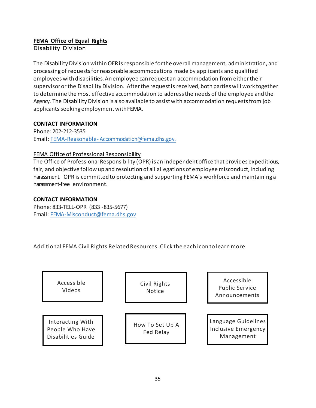#### **FEMA Office of Equal Rights**

Disability Division

The Disability Division within OERis responsible forthe overall management, administration, and processingof requestsfor reasonable accommodations made by applicants and qualified employees with disabilities. An employee can request an accommodation from eithertheir supervisor or the Disability Division. After the request is received, both parties will work together to determine the most effective accommodation to address the needs of the employee and the Agency. The Disability Division is also available to assist with accommodation requestsfrom job applicants seeking employment withFEMA.

#### **CONTACT INFORMATION**

Phone: 202-212-3535 Email: FEMA-Reasonable- Accommodation@fema.dhs.gov.

#### FEMA Office of Professional Responsibility

The Office of Professional Responsibility (OPR) is an independent office that provides expeditious, fair, and objective follow up and resolution of all allegations of employee misconduct, including harassment. OPR is committed to protecting and supporting FEMA's workforce and maintaining a harassment-free environment.

#### **CONTACT INFORMATION**

Phone: 833-TELL-OPR (833 -835-5677) Email: [FEMA-Misconduct@fema.dhs.gov](mailto:FEMA-Misconduct@fema.dhs.gov)

Additional FEMA Civil Rights Related Resources. Click the each icon to learn more.

Accessible Videos

Civil Rights Notice

Accessible Public Service Announcements

 Interacting With People Who Have Disabilities Guide

How To Set Up A Fed Relay

Language Guidelines Inclusive Emergency Management